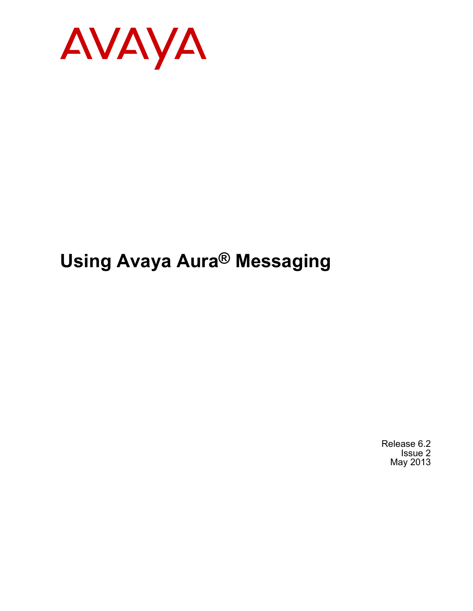

# **Using Avaya Aura® Messaging**

Release 6.2 Issue 2 May 2013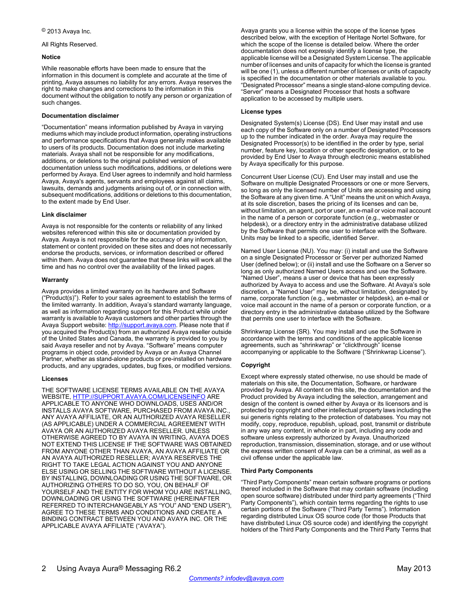All Rights Reserved.

#### **Notice**

While reasonable efforts have been made to ensure that the information in this document is complete and accurate at the time of printing, Avaya assumes no liability for any errors. Avaya reserves the right to make changes and corrections to the information in this document without the obligation to notify any person or organization of such changes.

#### **Documentation disclaimer**

"Documentation" means information published by Avaya in varying mediums which may include product information, operating instructions and performance specifications that Avaya generally makes available to users of its products. Documentation does not include marketing materials. Avaya shall not be responsible for any modifications, additions, or deletions to the original published version of documentation unless such modifications, additions, or deletions were performed by Avaya. End User agrees to indemnify and hold harmless Avaya, Avaya's agents, servants and employees against all claims, lawsuits, demands and judgments arising out of, or in connection with, subsequent modifications, additions or deletions to this documentation, to the extent made by End User.

#### **Link disclaimer**

Avaya is not responsible for the contents or reliability of any linked websites referenced within this site or documentation provided by Avaya. Avaya is not responsible for the accuracy of any information, statement or content provided on these sites and does not necessarily endorse the products, services, or information described or offered within them. Avaya does not guarantee that these links will work all the time and has no control over the availability of the linked pages.

#### **Warranty**

Avaya provides a limited warranty on its hardware and Software ("Product(s)"). Refer to your sales agreement to establish the terms of the limited warranty. In addition, Avaya's standard warranty language, as well as information regarding support for this Product while under warranty is available to Avaya customers and other parties through the Avaya Support website: [http://support.avaya.com.](http://support.avaya.com/) Please note that if you acquired the Product(s) from an authorized Avaya reseller outside of the United States and Canada, the warranty is provided to you by said Avaya reseller and not by Avaya. "Software" means computer programs in object code, provided by Avaya or an Avaya Channel Partner, whether as stand-alone products or pre-installed on hardware products, and any upgrades, updates, bug fixes, or modified versions.

#### **Licenses**

THE SOFTWARE LICENSE TERMS AVAILABLE ON THE AVAYA WEBSITE, [HTTP://SUPPORT.AVAYA.COM/LICENSEINFO](http://www.avaya.com/support/LicenseInfo) ARE APPLICABLE TO ANYONE WHO DOWNLOADS, USES AND/OR INSTALLS AVAYA SOFTWARE, PURCHASED FROM AVAYA INC., ANY AVAYA AFFILIATE, OR AN AUTHORIZED AVAYA RESELLER (AS APPLICABLE) UNDER A COMMERCIAL AGREEMENT WITH AVAYA OR AN AUTHORIZED AVAYA RESELLER. UNLESS OTHERWISE AGREED TO BY AVAYA IN WRITING, AVAYA DOES NOT EXTEND THIS LICENSE IF THE SOFTWARE WAS OBTAINED FROM ANYONE OTHER THAN AVAYA, AN AVAYA AFFILIATE OR AN AVAYA AUTHORIZED RESELLER; AVAYA RESERVES THE RIGHT TO TAKE LEGAL ACTION AGAINST YOU AND ANYONE ELSE USING OR SELLING THE SOFTWARE WITHOUT A LICENSE. BY INSTALLING, DOWNLOADING OR USING THE SOFTWARE, OR AUTHORIZING OTHERS TO DO SO, YOU, ON BEHALF OF YOURSELF AND THE ENTITY FOR WHOM YOU ARE INSTALLING, DOWNLOADING OR USING THE SOFTWARE (HEREINAFTER REFERRED TO INTERCHANGEABLY AS "YOU" AND "END USER"), AGREE TO THESE TERMS AND CONDITIONS AND CREATE A BINDING CONTRACT BETWEEN YOU AND AVAYA INC. OR THE APPLICABLE AVAYA AFFILIATE ("AVAYA").

Avaya grants you a license within the scope of the license types described below, with the exception of Heritage Nortel Software, for which the scope of the license is detailed below. Where the order documentation does not expressly identify a license type, the applicable license will be a Designated System License. The applicable number of licenses and units of capacity for which the license is granted will be one (1), unless a different number of licenses or units of capacity is specified in the documentation or other materials available to you. "Designated Processor" means a single stand-alone computing device. "Server" means a Designated Processor that hosts a software application to be accessed by multiple users.

#### **License types**

Designated System(s) License (DS). End User may install and use each copy of the Software only on a number of Designated Processors up to the number indicated in the order. Avaya may require the Designated Processor(s) to be identified in the order by type, serial number, feature key, location or other specific designation, or to be provided by End User to Avaya through electronic means established by Avaya specifically for this purpose.

Concurrent User License (CU). End User may install and use the Software on multiple Designated Processors or one or more Servers, so long as only the licensed number of Units are accessing and using the Software at any given time. A "Unit" means the unit on which Avaya, at its sole discretion, bases the pricing of its licenses and can be, without limitation, an agent, port or user, an e-mail or voice mail account in the name of a person or corporate function (e.g., webmaster or helpdesk), or a directory entry in the administrative database utilized by the Software that permits one user to interface with the Software. Units may be linked to a specific, identified Server.

Named User License (NU). You may: (i) install and use the Software on a single Designated Processor or Server per authorized Named User (defined below); or (ii) install and use the Software on a Server so long as only authorized Named Users access and use the Software. "Named User", means a user or device that has been expressly authorized by Avaya to access and use the Software. At Avaya's sole discretion, a "Named User" may be, without limitation, designated by name, corporate function (e.g., webmaster or helpdesk), an e-mail or voice mail account in the name of a person or corporate function, or a directory entry in the administrative database utilized by the Software that permits one user to interface with the Software.

Shrinkwrap License (SR). You may install and use the Software in accordance with the terms and conditions of the applicable license agreements, such as "shrinkwrap" or "clickthrough" license accompanying or applicable to the Software ("Shrinkwrap License").

#### **Copyright**

Except where expressly stated otherwise, no use should be made of materials on this site, the Documentation, Software, or hardware provided by Avaya. All content on this site, the documentation and the Product provided by Avaya including the selection, arrangement and design of the content is owned either by Avaya or its licensors and is protected by copyright and other intellectual property laws including the sui generis rights relating to the protection of databases. You may not modify, copy, reproduce, republish, upload, post, transmit or distribute in any way any content, in whole or in part, including any code and software unless expressly authorized by Avaya. Unauthorized reproduction, transmission, dissemination, storage, and or use without the express written consent of Avaya can be a criminal, as well as a civil offense under the applicable law.

#### **Third Party Components**

"Third Party Components" mean certain software programs or portions thereof included in the Software that may contain software (including open source software) distributed under third party agreements ("Third Party Components"), which contain terms regarding the rights to use certain portions of the Software ("Third Party Terms"). Information regarding distributed Linux OS source code (for those Products that have distributed Linux OS source code) and identifying the copyright holders of the Third Party Components and the Third Party Terms that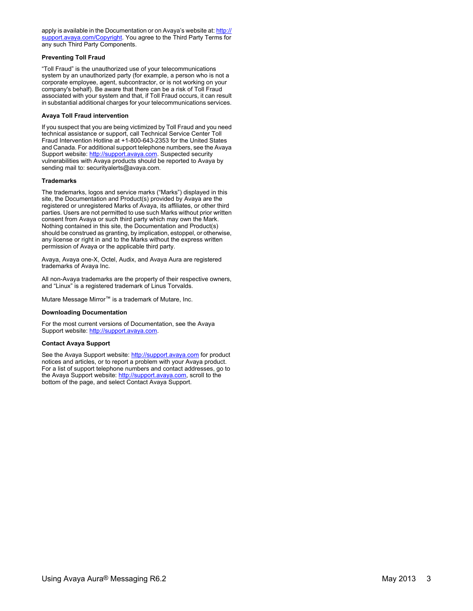apply is available in the Documentation or on Avaya's website at: [http://](http://support.avaya.com/Copyright) [support.avaya.com/Copyright](http://support.avaya.com/Copyright). You agree to the Third Party Terms for any such Third Party Components.

#### **Preventing Toll Fraud**

"Toll Fraud" is the unauthorized use of your telecommunications system by an unauthorized party (for example, a person who is not a corporate employee, agent, subcontractor, or is not working on your company's behalf). Be aware that there can be a risk of Toll Fraud associated with your system and that, if Toll Fraud occurs, it can result in substantial additional charges for your telecommunications services.

#### **Avaya Toll Fraud intervention**

If you suspect that you are being victimized by Toll Fraud and you need technical assistance or support, call Technical Service Center Toll Fraud Intervention Hotline at +1-800-643-2353 for the United States and Canada. For additional support telephone numbers, see the Avaya Support website: <http://support.avaya.com>. Suspected security vulnerabilities with Avaya products should be reported to Avaya by sending mail to: securityalerts@avaya.com.

#### **Trademarks**

The trademarks, logos and service marks ("Marks") displayed in this site, the Documentation and Product(s) provided by Avaya are the registered or unregistered Marks of Avaya, its affiliates, or other third parties. Users are not permitted to use such Marks without prior written consent from Avaya or such third party which may own the Mark. Nothing contained in this site, the Documentation and Product(s) should be construed as granting, by implication, estoppel, or otherwise, any license or right in and to the Marks without the express written permission of Avaya or the applicable third party.

Avaya, Avaya one-X, Octel, Audix, and Avaya Aura are registered trademarks of Avaya Inc.

All non-Avaya trademarks are the property of their respective owners, and "Linux" is a registered trademark of Linus Torvalds.

Mutare Message Mirror™ is a trademark of Mutare, Inc.

#### **Downloading Documentation**

For the most current versions of Documentation, see the Avaya Support website: <http://support.avaya.com>.

#### **Contact Avaya Support**

See the Avaya Support website:<http://support.avaya.com>for product notices and articles, or to report a problem with your Avaya product. For a list of support telephone numbers and contact addresses, go to the Avaya Support website: <http://support.avaya.com>, scroll to the bottom of the page, and select Contact Avaya Support.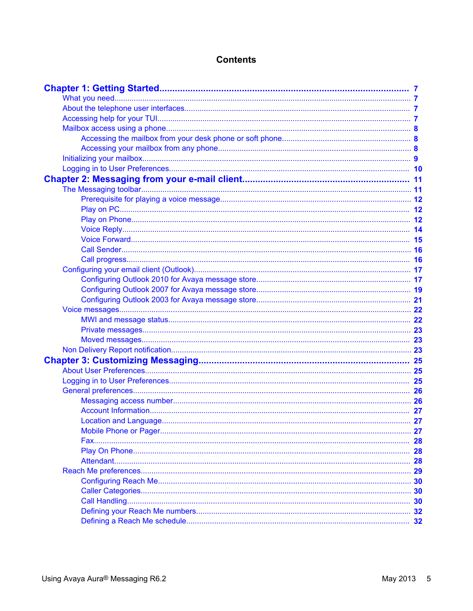### **Contents**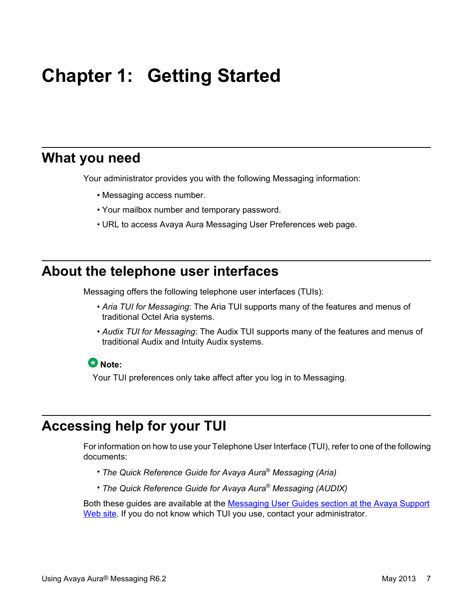# <span id="page-6-0"></span>**Chapter 1: Getting Started**

# **What you need**

Your administrator provides you with the following Messaging information:

- Messaging access number.
- Your mailbox number and temporary password.
- URL to access Avaya Aura Messaging User Preferences web page.

# **About the telephone user interfaces**

Messaging offers the following telephone user interfaces (TUIs):

- *Aria TUI for Messaging*: The Aria TUI supports many of the features and menus of traditional Octel Aria systems.
- *Audix TUI for Messaging*: The Audix TUI supports many of the features and menus of traditional Audix and Intuity Audix systems.

### **Note:**

Your TUI preferences only take affect after you log in to Messaging.

# **Accessing help for your TUI**

For information on how to use your Telephone User Interface (TUI), refer to one of the following documents:

- *The Quick Reference Guide for Avaya Aura® Messaging (Aria)*
- *The Quick Reference Guide for Avaya Aura® Messaging (AUDIX)*

Both these guides are available at the [Messaging User Guides section at the Avaya Support](https://support.avaya.com/css/Products/P0792/User%20Guides) [Web site.](https://support.avaya.com/css/Products/P0792/User%20Guides) If you do not know which TUI you use, contact your administrator.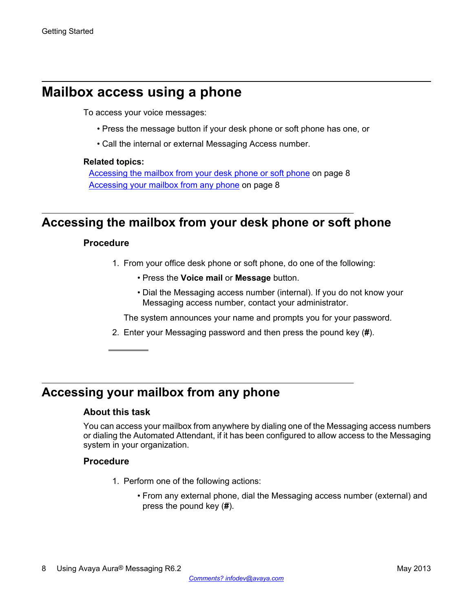# <span id="page-7-0"></span>**Mailbox access using a phone**

To access your voice messages:

- Press the message button if your desk phone or soft phone has one, or
- Call the internal or external Messaging Access number.

#### **Related topics:**

Accessing the mailbox from your desk phone or soft phone on page 8 Accessing your mailbox from any phone on page 8

# **Accessing the mailbox from your desk phone or soft phone**

### **Procedure**

- 1. From your office desk phone or soft phone, do one of the following:
	- Press the **Voice mail** or **Message** button.
	- Dial the Messaging access number (internal). If you do not know your Messaging access number, contact your administrator.

The system announces your name and prompts you for your password.

2. Enter your Messaging password and then press the pound key (**#**).

# **Accessing your mailbox from any phone**

### **About this task**

You can access your mailbox from anywhere by dialing one of the Messaging access numbers or dialing the Automated Attendant, if it has been configured to allow access to the Messaging system in your organization.

- 1. Perform one of the following actions:
	- From any external phone, dial the Messaging access number (external) and press the pound key (**#**).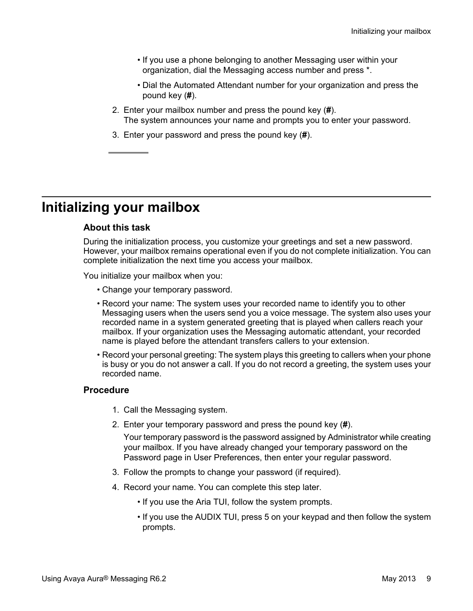- <span id="page-8-0"></span>• If you use a phone belonging to another Messaging user within your organization, dial the Messaging access number and press \*.
- Dial the Automated Attendant number for your organization and press the pound key (**#**).
- 2. Enter your mailbox number and press the pound key (**#**). The system announces your name and prompts you to enter your password.
- 3. Enter your password and press the pound key (**#**).

# **Initializing your mailbox**

### **About this task**

During the initialization process, you customize your greetings and set a new password. However, your mailbox remains operational even if you do not complete initialization. You can complete initialization the next time you access your mailbox.

You initialize your mailbox when you:

- Change your temporary password.
- Record your name: The system uses your recorded name to identify you to other Messaging users when the users send you a voice message. The system also uses your recorded name in a system generated greeting that is played when callers reach your mailbox. If your organization uses the Messaging automatic attendant, your recorded name is played before the attendant transfers callers to your extension.
- Record your personal greeting: The system plays this greeting to callers when your phone is busy or you do not answer a call. If you do not record a greeting, the system uses your recorded name.

### **Procedure**

- 1. Call the Messaging system.
- 2. Enter your temporary password and press the pound key (**#**).

Your temporary password is the password assigned by Administrator while creating your mailbox. If you have already changed your temporary password on the Password page in User Preferences, then enter your regular password.

- 3. Follow the prompts to change your password (if required).
- 4. Record your name. You can complete this step later.
	- If you use the Aria TUI, follow the system prompts.
	- If you use the AUDIX TUI, press 5 on your keypad and then follow the system prompts.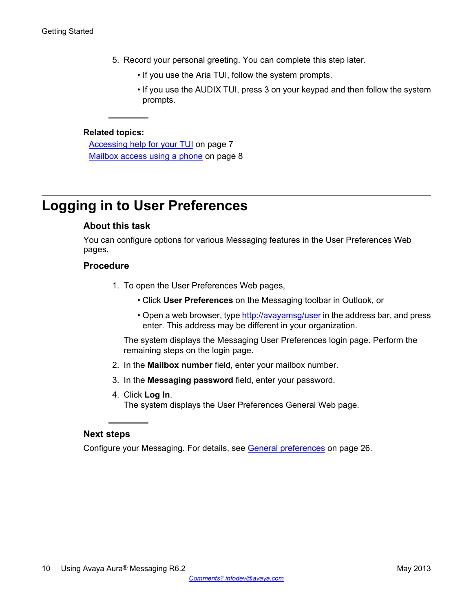- <span id="page-9-0"></span>5. Record your personal greeting. You can complete this step later.
	- If you use the Aria TUI, follow the system prompts.
	- If you use the AUDIX TUI, press 3 on your keypad and then follow the system prompts.

#### **Related topics:**

[Accessing help for your TUI](#page-6-0) on page 7 [Mailbox access using a phone](#page-7-0) on page 8

# **Logging in to User Preferences**

### **About this task**

You can configure options for various Messaging features in the User Preferences Web pages.

### **Procedure**

- 1. To open the User Preferences Web pages,
	- Click **User Preferences** on the Messaging toolbar in Outlook, or
	- Open a web browser, type<http://avayamsg/user>in the address bar, and press enter. This address may be different in your organization.

The system displays the Messaging User Preferences login page. Perform the remaining steps on the login page.

- 2. In the **Mailbox number** field, enter your mailbox number.
- 3. In the **Messaging password** field, enter your password.
- 4. Click **Log In**.

The system displays the User Preferences General Web page.

### **Next steps**

Configure your Messaging. For details, see [General preferences](#page-25-0) on page 26.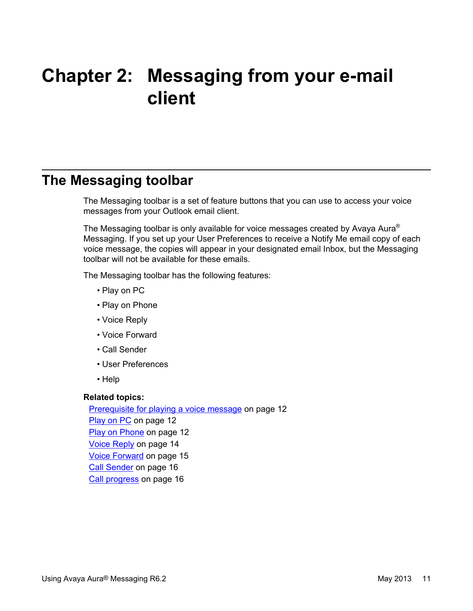# <span id="page-10-0"></span>**Chapter 2: Messaging from your e-mail client**

# **The Messaging toolbar**

The Messaging toolbar is a set of feature buttons that you can use to access your voice messages from your Outlook email client.

The Messaging toolbar is only available for voice messages created by Avaya Aura® Messaging. If you set up your User Preferences to receive a Notify Me email copy of each voice message, the copies will appear in your designated email Inbox, but the Messaging toolbar will not be available for these emails.

The Messaging toolbar has the following features:

- Play on PC
- Play on Phone
- Voice Reply
- Voice Forward
- Call Sender
- User Preferences
- Help

**Related topics:**

[Prerequisite for playing a voice message](#page-11-0) on page 12 [Play on PC](#page-11-0) on page 12 [Play on Phone](#page-11-0) on page 12 [Voice Reply](#page-13-0) on page 14 [Voice Forward](#page-14-0) on page 15 [Call Sender](#page-15-0) on page 16 [Call progress](#page-15-0) on page 16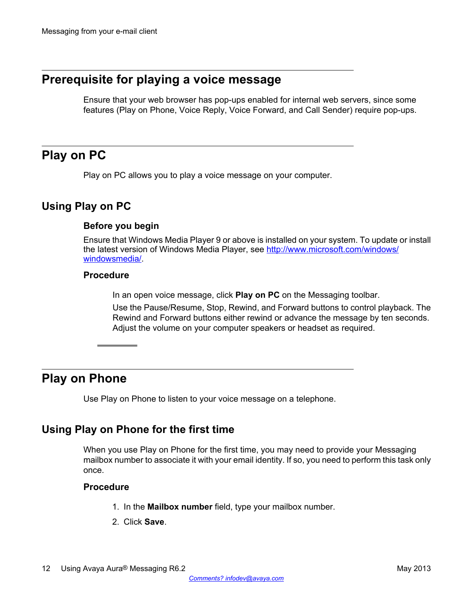# <span id="page-11-0"></span>**Prerequisite for playing a voice message**

Ensure that your web browser has pop-ups enabled for internal web servers, since some features (Play on Phone, Voice Reply, Voice Forward, and Call Sender) require pop-ups.

# **Play on PC**

Play on PC allows you to play a voice message on your computer.

## **Using Play on PC**

### **Before you begin**

Ensure that Windows Media Player 9 or above is installed on your system. To update or install the latest version of Windows Media Player, see [http://www.microsoft.com/windows/](http://www.microsoft.com/windows/windowsmedia/) [windowsmedia/](http://www.microsoft.com/windows/windowsmedia/).

### **Procedure**

In an open voice message, click **Play on PC** on the Messaging toolbar. Use the Pause/Resume, Stop, Rewind, and Forward buttons to control playback. The Rewind and Forward buttons either rewind or advance the message by ten seconds. Adjust the volume on your computer speakers or headset as required.

# **Play on Phone**

Use Play on Phone to listen to your voice message on a telephone.

### **Using Play on Phone for the first time**

When you use Play on Phone for the first time, you may need to provide your Messaging mailbox number to associate it with your email identity. If so, you need to perform this task only once.

- 1. In the **Mailbox number** field, type your mailbox number.
- 2. Click **Save**.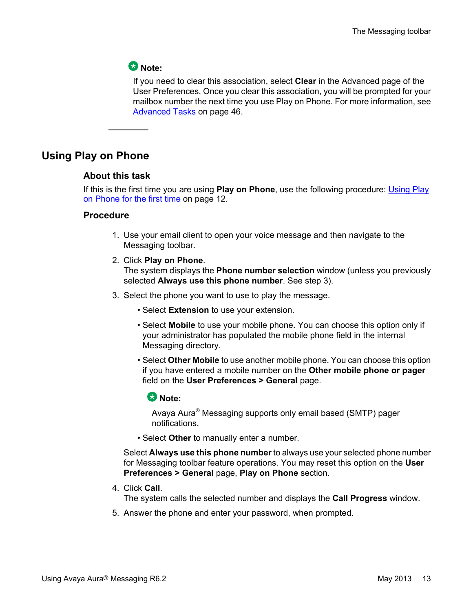### **Note:**

If you need to clear this association, select **Clear** in the Advanced page of the User Preferences. Once you clear this association, you will be prompted for your mailbox number the next time you use Play on Phone. For more information, see [Advanced Tasks](#page-45-0) on page 46.

# **Using Play on Phone**

### **About this task**

If this is the first time you are using **Play on Phone**, use the following procedure: [Using Play](#page-11-0) [on Phone for the first time](#page-11-0) on page 12.

### **Procedure**

- 1. Use your email client to open your voice message and then navigate to the Messaging toolbar.
- 2. Click **Play on Phone**.

The system displays the **Phone number selection** window (unless you previously selected **Always use this phone number**. See step 3).

- 3. Select the phone you want to use to play the message.
	- Select **Extension** to use your extension.
	- Select **Mobile** to use your mobile phone. You can choose this option only if your administrator has populated the mobile phone field in the internal Messaging directory.
	- Select **Other Mobile** to use another mobile phone. You can choose this option if you have entered a mobile number on the **Other mobile phone or pager** field on the **User Preferences > General** page.

### **Note:**

Avaya Aura® Messaging supports only email based (SMTP) pager notifications.

• Select **Other** to manually enter a number.

Select **Always use this phone number** to always use your selected phone number for Messaging toolbar feature operations. You may reset this option on the **User Preferences > General** page, **Play on Phone** section.

4. Click **Call**.

The system calls the selected number and displays the **Call Progress** window.

5. Answer the phone and enter your password, when prompted.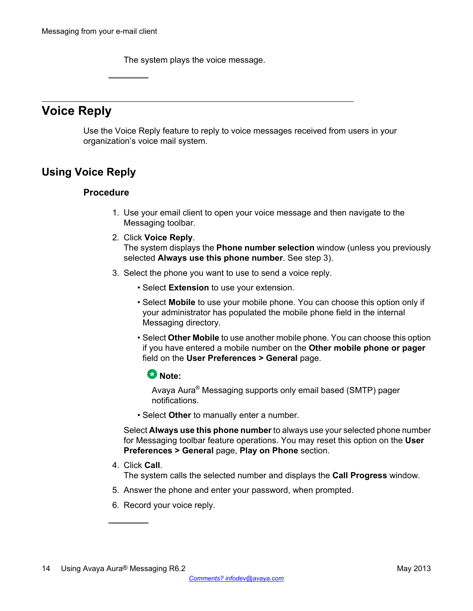The system plays the voice message.

# <span id="page-13-0"></span>**Voice Reply**

Use the Voice Reply feature to reply to voice messages received from users in your organization's voice mail system.

### **Using Voice Reply**

### **Procedure**

- 1. Use your email client to open your voice message and then navigate to the Messaging toolbar.
- 2. Click **Voice Reply**.

The system displays the **Phone number selection** window (unless you previously selected **Always use this phone number**. See step 3).

- 3. Select the phone you want to use to send a voice reply.
	- Select **Extension** to use your extension.
	- Select **Mobile** to use your mobile phone. You can choose this option only if your administrator has populated the mobile phone field in the internal Messaging directory.
	- Select **Other Mobile** to use another mobile phone. You can choose this option if you have entered a mobile number on the **Other mobile phone or pager** field on the **User Preferences > General** page.

### **Note:**

Avaya Aura® Messaging supports only email based (SMTP) pager notifications.

• Select **Other** to manually enter a number.

Select **Always use this phone number** to always use your selected phone number for Messaging toolbar feature operations. You may reset this option on the **User Preferences > General** page, **Play on Phone** section.

4. Click **Call**.

The system calls the selected number and displays the **Call Progress** window.

- 5. Answer the phone and enter your password, when prompted.
- 6. Record your voice reply.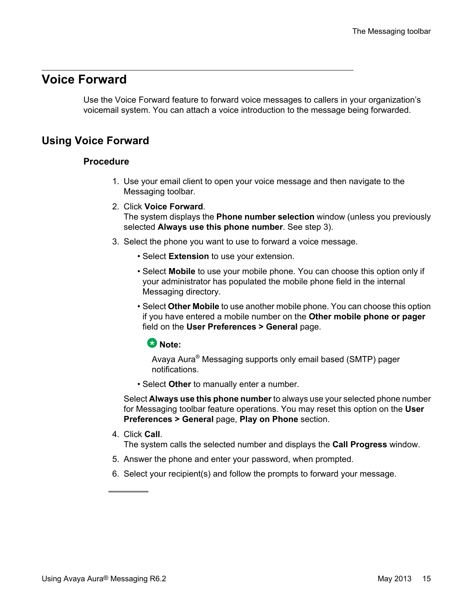# <span id="page-14-0"></span>**Voice Forward**

Use the Voice Forward feature to forward voice messages to callers in your organization's voicemail system. You can attach a voice introduction to the message being forwarded.

## **Using Voice Forward**

### **Procedure**

- 1. Use your email client to open your voice message and then navigate to the Messaging toolbar.
- 2. Click **Voice Forward**.

The system displays the **Phone number selection** window (unless you previously selected **Always use this phone number**. See step 3).

- 3. Select the phone you want to use to forward a voice message.
	- Select **Extension** to use your extension.
	- Select **Mobile** to use your mobile phone. You can choose this option only if your administrator has populated the mobile phone field in the internal Messaging directory.
	- Select **Other Mobile** to use another mobile phone. You can choose this option if you have entered a mobile number on the **Other mobile phone or pager** field on the **User Preferences > General** page.

### **Note:**

Avaya Aura® Messaging supports only email based (SMTP) pager notifications.

• Select **Other** to manually enter a number.

Select **Always use this phone number** to always use your selected phone number for Messaging toolbar feature operations. You may reset this option on the **User Preferences > General** page, **Play on Phone** section.

4. Click **Call**.

The system calls the selected number and displays the **Call Progress** window.

- 5. Answer the phone and enter your password, when prompted.
- 6. Select your recipient(s) and follow the prompts to forward your message.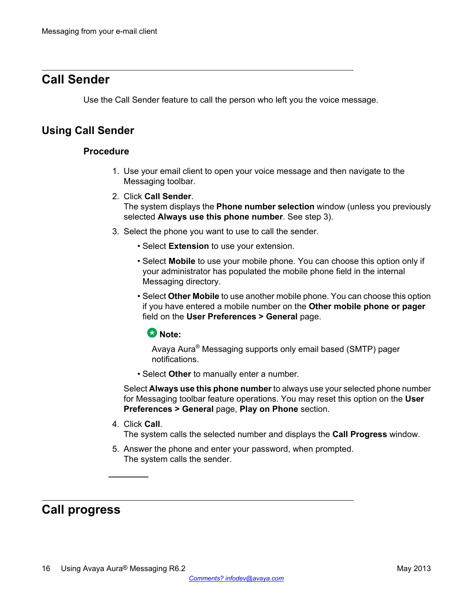# <span id="page-15-0"></span>**Call Sender**

Use the Call Sender feature to call the person who left you the voice message.

## **Using Call Sender**

### **Procedure**

- 1. Use your email client to open your voice message and then navigate to the Messaging toolbar.
- 2. Click **Call Sender**.

The system displays the **Phone number selection** window (unless you previously selected **Always use this phone number**. See step 3).

- 3. Select the phone you want to use to call the sender.
	- Select **Extension** to use your extension.
	- Select **Mobile** to use your mobile phone. You can choose this option only if your administrator has populated the mobile phone field in the internal Messaging directory.
	- Select **Other Mobile** to use another mobile phone. You can choose this option if you have entered a mobile number on the **Other mobile phone or pager** field on the **User Preferences > General** page.

### **Note:**

Avaya Aura® Messaging supports only email based (SMTP) pager notifications.

• Select **Other** to manually enter a number.

Select **Always use this phone number** to always use your selected phone number for Messaging toolbar feature operations. You may reset this option on the **User Preferences > General** page, **Play on Phone** section.

4. Click **Call**.

The system calls the selected number and displays the **Call Progress** window.

5. Answer the phone and enter your password, when prompted. The system calls the sender.

# **Call progress**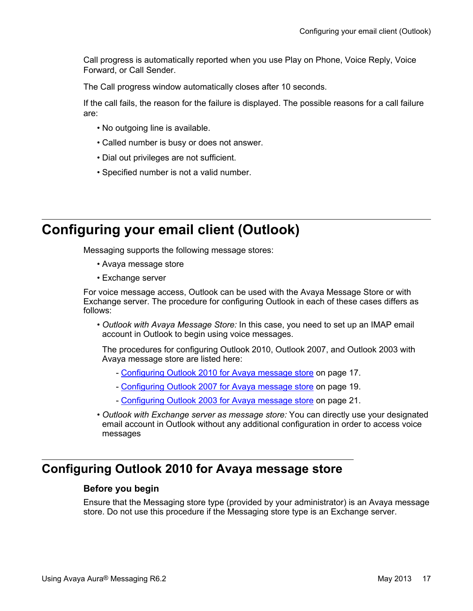<span id="page-16-0"></span>Call progress is automatically reported when you use Play on Phone, Voice Reply, Voice Forward, or Call Sender.

The Call progress window automatically closes after 10 seconds.

If the call fails, the reason for the failure is displayed. The possible reasons for a call failure are:

- No outgoing line is available.
- Called number is busy or does not answer.
- Dial out privileges are not sufficient.
- Specified number is not a valid number.

# **Configuring your email client (Outlook)**

Messaging supports the following message stores:

- Avaya message store
- Exchange server

For voice message access, Outlook can be used with the Avaya Message Store or with Exchange server. The procedure for configuring Outlook in each of these cases differs as follows:

• *Outlook with Avaya Message Store:* In this case, you need to set up an IMAP email account in Outlook to begin using voice messages.

The procedures for configuring Outlook 2010, Outlook 2007, and Outlook 2003 with Avaya message store are listed here:

- Configuring Outlook 2010 for Avaya message store on page 17.
- [Configuring Outlook 2007 for Avaya message store](#page-18-0) on page 19.
- [Configuring Outlook 2003 for Avaya message store](#page-20-0) on page 21.
- *Outlook with Exchange server as message store:* You can directly use your designated email account in Outlook without any additional configuration in order to access voice messages

# **Configuring Outlook 2010 for Avaya message store**

### **Before you begin**

Ensure that the Messaging store type (provided by your administrator) is an Avaya message store. Do not use this procedure if the Messaging store type is an Exchange server.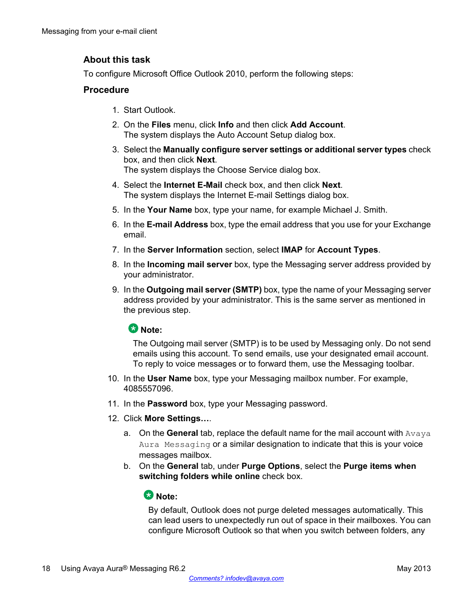### **About this task**

To configure Microsoft Office Outlook 2010, perform the following steps:

### **Procedure**

- 1. Start Outlook.
- 2. On the **Files** menu, click **Info** and then click **Add Account**. The system displays the Auto Account Setup dialog box.
- 3. Select the **Manually configure server settings or additional server types** check box, and then click **Next**. The system displays the Choose Service dialog box.
- 4. Select the **Internet E-Mail** check box, and then click **Next**. The system displays the Internet E-mail Settings dialog box.
- 5. In the **Your Name** box, type your name, for example Michael J. Smith.
- 6. In the **E-mail Address** box, type the email address that you use for your Exchange email.
- 7. In the **Server Information** section, select **IMAP** for **Account Types**.
- 8. In the **Incoming mail server** box, type the Messaging server address provided by your administrator.
- 9. In the **Outgoing mail server (SMTP)** box, type the name of your Messaging server address provided by your administrator. This is the same server as mentioned in the previous step.

### **Note:**

The Outgoing mail server (SMTP) is to be used by Messaging only. Do not send emails using this account. To send emails, use your designated email account. To reply to voice messages or to forward them, use the Messaging toolbar.

- 10. In the **User Name** box, type your Messaging mailbox number. For example, 4085557096.
- 11. In the **Password** box, type your Messaging password.
- 12. Click **More Settings…**.
	- a. On the **General** tab, replace the default name for the mail account with Avaya Aura Messaging or a similar designation to indicate that this is your voice messages mailbox.
	- b. On the **General** tab, under **Purge Options**, select the **Purge items when switching folders while online** check box.

### **Note:**

By default, Outlook does not purge deleted messages automatically. This can lead users to unexpectedly run out of space in their mailboxes. You can configure Microsoft Outlook so that when you switch between folders, any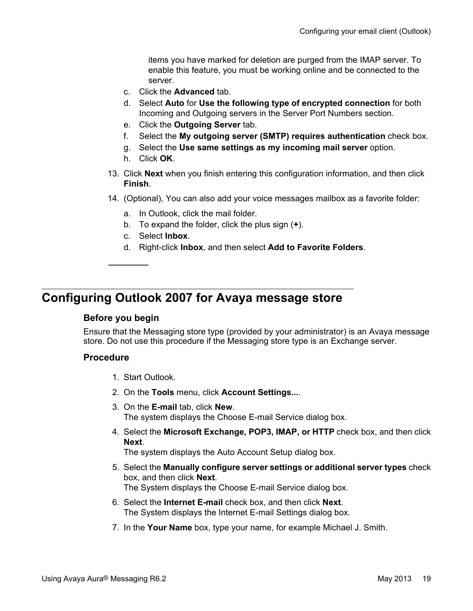items you have marked for deletion are purged from the IMAP server. To enable this feature, you must be working online and be connected to the server.

- <span id="page-18-0"></span>c. Click the **Advanced** tab.
- d. Select **Auto** for **Use the following type of encrypted connection** for both Incoming and Outgoing servers in the Server Port Numbers section.
- e. Click the **Outgoing Server** tab.
- f. Select the **My outgoing server (SMTP) requires authentication** check box.
- g. Select the **Use same settings as my incoming mail server** option.
- h. Click **OK**.
- 13. Click **Next** when you finish entering this configuration information, and then click **Finish**.
- 14. (Optional), You can also add your voice messages mailbox as a favorite folder:
	- a. In Outlook, click the mail folder.
	- b. To expand the folder, click the plus sign (**+**).
	- c. Select **Inbox**.
	- d. Right-click **Inbox**, and then select **Add to Favorite Folders**.

## **Configuring Outlook 2007 for Avaya message store**

### **Before you begin**

Ensure that the Messaging store type (provided by your administrator) is an Avaya message store. Do not use this procedure if the Messaging store type is an Exchange server.

#### **Procedure**

- 1. Start Outlook.
- 2. On the **Tools** menu, click **Account Settings...**.
- 3. On the **E-mail** tab, click **New**. The system displays the Choose E-mail Service dialog box.
- 4. Select the **Microsoft Exchange, POP3, IMAP, or HTTP** check box, and then click **Next**.

The system displays the Auto Account Setup dialog box.

5. Select the **Manually configure server settings or additional server types** check box, and then click **Next**. The System displays the Choose E-mail Service dialog box.

6. Select the **Internet E-mail** check box, and then click **Next**.

The System displays the Internet E-mail Settings dialog box.

7. In the **Your Name** box, type your name, for example Michael J. Smith.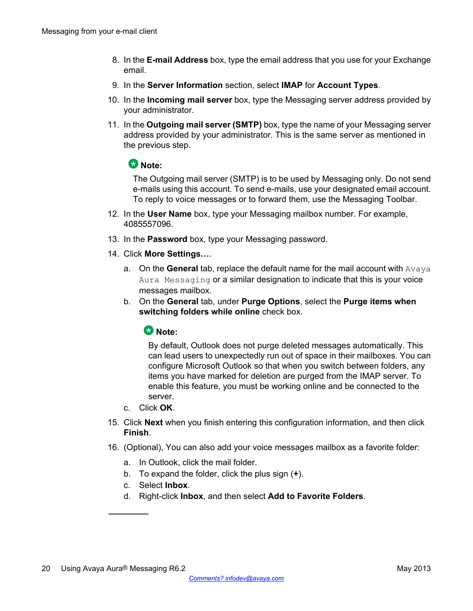- 8. In the **E-mail Address** box, type the email address that you use for your Exchange email.
- 9. In the **Server Information** section, select **IMAP** for **Account Types**.
- 10. In the **Incoming mail server** box, type the Messaging server address provided by your administrator.
- 11. In the **Outgoing mail server (SMTP)** box, type the name of your Messaging server address provided by your administrator. This is the same server as mentioned in the previous step.

### **Note:**

The Outgoing mail server (SMTP) is to be used by Messaging only. Do not send e-mails using this account. To send e-mails, use your designated email account. To reply to voice messages or to forward them, use the Messaging Toolbar.

- 12. In the **User Name** box, type your Messaging mailbox number. For example, 4085557096.
- 13. In the **Password** box, type your Messaging password.
- 14. Click **More Settings…**.
	- a. On the **General** tab, replace the default name for the mail account with Avaya Aura Messaging or a similar designation to indicate that this is your voice messages mailbox.
	- b. On the **General** tab, under **Purge Options**, select the **Purge items when switching folders while online** check box.

### **Note:**

By default, Outlook does not purge deleted messages automatically. This can lead users to unexpectedly run out of space in their mailboxes. You can configure Microsoft Outlook so that when you switch between folders, any items you have marked for deletion are purged from the IMAP server. To enable this feature, you must be working online and be connected to the server.

- c. Click **OK**.
- 15. Click **Next** when you finish entering this configuration information, and then click **Finish**.
- 16. (Optional), You can also add your voice messages mailbox as a favorite folder:
	- a. In Outlook, click the mail folder.
	- b. To expand the folder, click the plus sign (**+**).
	- c. Select **Inbox**.
	- d. Right-click **Inbox**, and then select **Add to Favorite Folders**.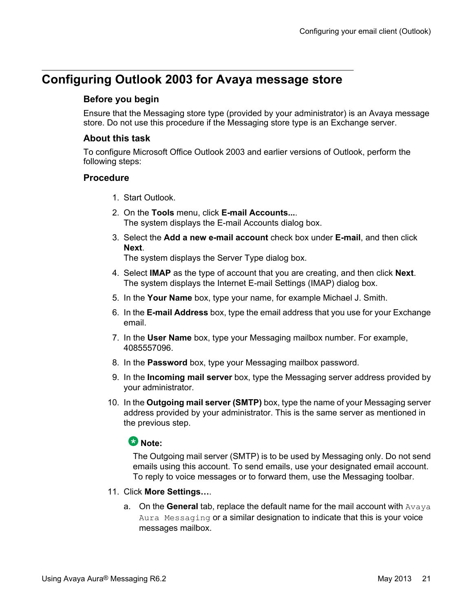# <span id="page-20-0"></span>**Configuring Outlook 2003 for Avaya message store**

### **Before you begin**

Ensure that the Messaging store type (provided by your administrator) is an Avaya message store. Do not use this procedure if the Messaging store type is an Exchange server.

### **About this task**

To configure Microsoft Office Outlook 2003 and earlier versions of Outlook, perform the following steps:

### **Procedure**

- 1. Start Outlook.
- 2. On the **Tools** menu, click **E-mail Accounts...**. The system displays the E-mail Accounts dialog box.
- 3. Select the **Add a new e-mail account** check box under **E-mail**, and then click **Next**.

The system displays the Server Type dialog box.

- 4. Select **IMAP** as the type of account that you are creating, and then click **Next**. The system displays the Internet E-mail Settings (IMAP) dialog box.
- 5. In the **Your Name** box, type your name, for example Michael J. Smith.
- 6. In the **E-mail Address** box, type the email address that you use for your Exchange email.
- 7. In the **User Name** box, type your Messaging mailbox number. For example, 4085557096.
- 8. In the **Password** box, type your Messaging mailbox password.
- 9. In the **Incoming mail server** box, type the Messaging server address provided by your administrator.
- 10. In the **Outgoing mail server (SMTP)** box, type the name of your Messaging server address provided by your administrator. This is the same server as mentioned in the previous step.

### **Note:**

The Outgoing mail server (SMTP) is to be used by Messaging only. Do not send emails using this account. To send emails, use your designated email account. To reply to voice messages or to forward them, use the Messaging toolbar.

- 11. Click **More Settings…**.
	- a. On the **General** tab, replace the default name for the mail account with Avaya Aura Messaging or a similar designation to indicate that this is your voice messages mailbox.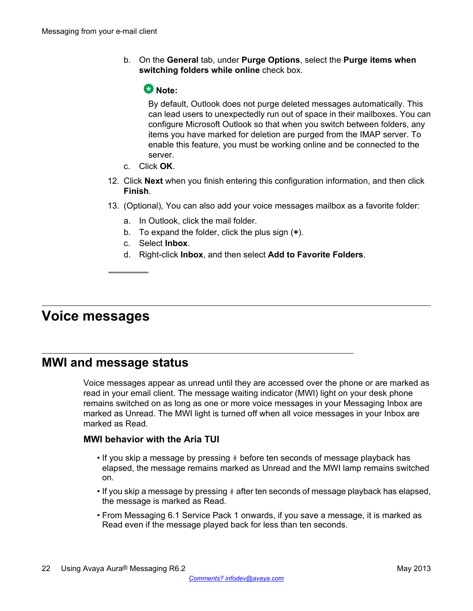<span id="page-21-0"></span>b. On the **General** tab, under **Purge Options**, select the **Purge items when switching folders while online** check box.

### **Note:**

By default, Outlook does not purge deleted messages automatically. This can lead users to unexpectedly run out of space in their mailboxes. You can configure Microsoft Outlook so that when you switch between folders, any items you have marked for deletion are purged from the IMAP server. To enable this feature, you must be working online and be connected to the server.

- c. Click **OK**.
- 12. Click **Next** when you finish entering this configuration information, and then click **Finish**.
- 13. (Optional), You can also add your voice messages mailbox as a favorite folder:
	- a. In Outlook, click the mail folder.
	- b. To expand the folder, click the plus sign (**+**).
	- c. Select **Inbox**.
	- d. Right-click **Inbox**, and then select **Add to Favorite Folders**.

# **Voice messages**

### **MWI and message status**

Voice messages appear as unread until they are accessed over the phone or are marked as read in your email client. The message waiting indicator (MWI) light on your desk phone remains switched on as long as one or more voice messages in your Messaging Inbox are marked as Unread. The MWI light is turned off when all voice messages in your Inbox are marked as Read.

### **MWI behavior with the Aria TUI**

- If you skip a message by pressing # before ten seconds of message playback has elapsed, the message remains marked as Unread and the MWI lamp remains switched on.
- If you skip a message by pressing # after ten seconds of message playback has elapsed, the message is marked as Read.
- From Messaging 6.1 Service Pack 1 onwards, if you save a message, it is marked as Read even if the message played back for less than ten seconds.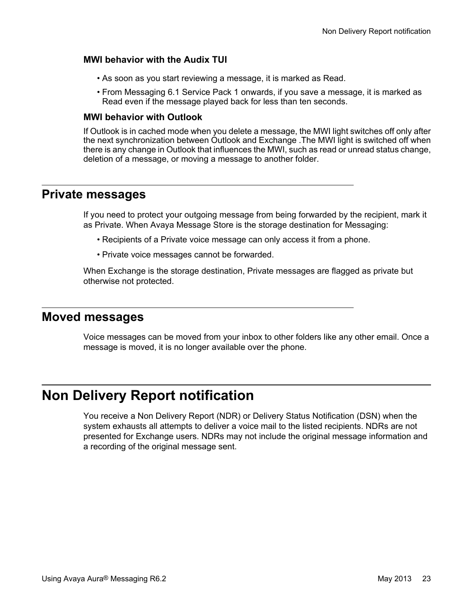### <span id="page-22-0"></span>**MWI behavior with the Audix TUI**

- As soon as you start reviewing a message, it is marked as Read.
- From Messaging 6.1 Service Pack 1 onwards, if you save a message, it is marked as Read even if the message played back for less than ten seconds.

### **MWI behavior with Outlook**

If Outlook is in cached mode when you delete a message, the MWI light switches off only after the next synchronization between Outlook and Exchange .The MWI light is switched off when there is any change in Outlook that influences the MWI, such as read or unread status change, deletion of a message, or moving a message to another folder.

### **Private messages**

If you need to protect your outgoing message from being forwarded by the recipient, mark it as Private. When Avaya Message Store is the storage destination for Messaging:

- Recipients of a Private voice message can only access it from a phone.
- Private voice messages cannot be forwarded.

When Exchange is the storage destination, Private messages are flagged as private but otherwise not protected.

### **Moved messages**

Voice messages can be moved from your inbox to other folders like any other email. Once a message is moved, it is no longer available over the phone.

# **Non Delivery Report notification**

You receive a Non Delivery Report (NDR) or Delivery Status Notification (DSN) when the system exhausts all attempts to deliver a voice mail to the listed recipients. NDRs are not presented for Exchange users. NDRs may not include the original message information and a recording of the original message sent.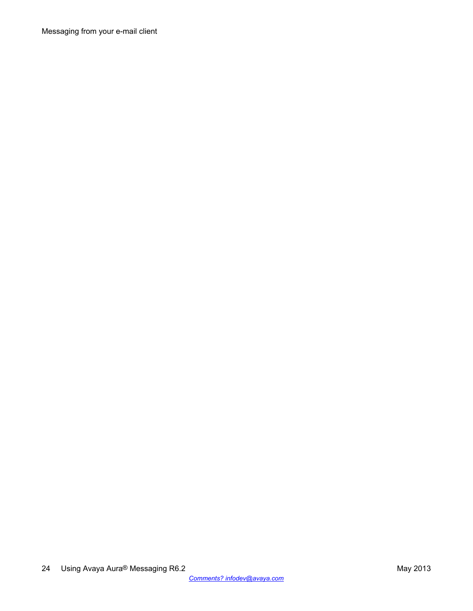Messaging from your e-mail client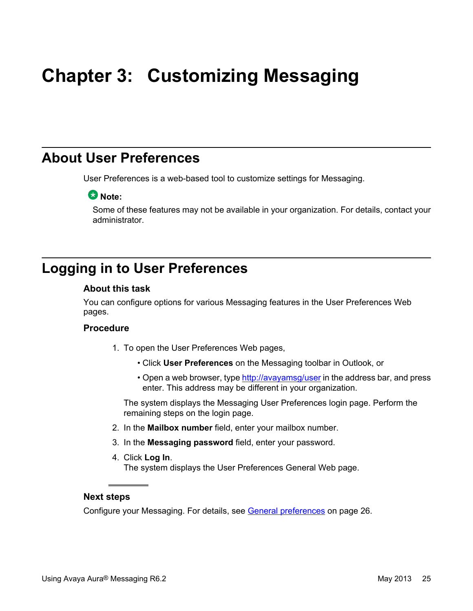# <span id="page-24-0"></span>**Chapter 3: Customizing Messaging**

# **About User Preferences**

User Preferences is a web-based tool to customize settings for Messaging.

### **Note:**

Some of these features may not be available in your organization. For details, contact your administrator.

# **Logging in to User Preferences**

### **About this task**

You can configure options for various Messaging features in the User Preferences Web pages.

### **Procedure**

- 1. To open the User Preferences Web pages,
	- Click **User Preferences** on the Messaging toolbar in Outlook, or
	- Open a web browser, type<http://avayamsg/user>in the address bar, and press enter. This address may be different in your organization.

The system displays the Messaging User Preferences login page. Perform the remaining steps on the login page.

- 2. In the **Mailbox number** field, enter your mailbox number.
- 3. In the **Messaging password** field, enter your password.
- 4. Click **Log In**.

The system displays the User Preferences General Web page.

### **Next steps**

Configure your Messaging. For details, see [General preferences](#page-25-0) on page 26.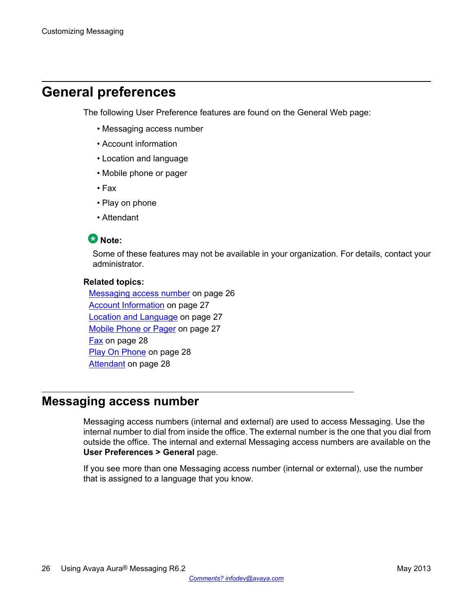# <span id="page-25-0"></span>**General preferences**

The following User Preference features are found on the General Web page:

- Messaging access number
- Account information
- Location and language
- Mobile phone or pager
- Fax
- Play on phone
- Attendant

### **Note:**

Some of these features may not be available in your organization. For details, contact your administrator.

#### **Related topics:**

Messaging access number on page 26 [Account Information](#page-26-0) on page 27 [Location and Language](#page-26-0) on page 27 [Mobile Phone or Pager](#page-26-0) on page 27 [Fax](#page-27-0) on page 28 [Play On Phone](#page-27-0) on page 28 [Attendant](#page-27-0) on page 28

# **Messaging access number**

Messaging access numbers (internal and external) are used to access Messaging. Use the internal number to dial from inside the office. The external number is the one that you dial from outside the office. The internal and external Messaging access numbers are available on the **User Preferences > General** page.

If you see more than one Messaging access number (internal or external), use the number that is assigned to a language that you know.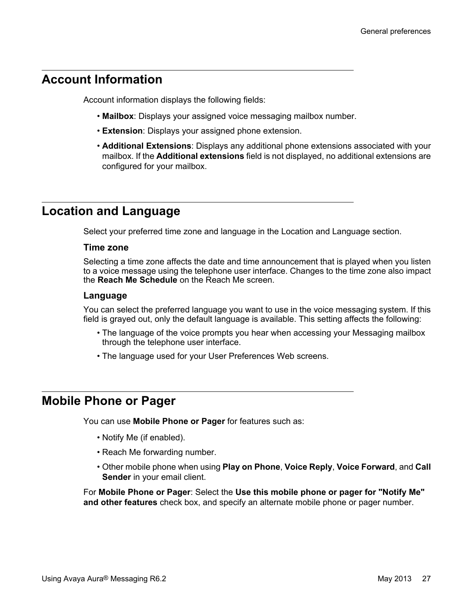# <span id="page-26-0"></span>**Account Information**

Account information displays the following fields:

- **Mailbox**: Displays your assigned voice messaging mailbox number.
- **Extension**: Displays your assigned phone extension.
- **Additional Extensions**: Displays any additional phone extensions associated with your mailbox. If the **Additional extensions** field is not displayed, no additional extensions are configured for your mailbox.

# **Location and Language**

Select your preferred time zone and language in the Location and Language section.

#### **Time zone**

Selecting a time zone affects the date and time announcement that is played when you listen to a voice message using the telephone user interface. Changes to the time zone also impact the **Reach Me Schedule** on the Reach Me screen.

### **Language**

You can select the preferred language you want to use in the voice messaging system. If this field is grayed out, only the default language is available. This setting affects the following:

- The language of the voice prompts you hear when accessing your Messaging mailbox through the telephone user interface.
- The language used for your User Preferences Web screens.

### **Mobile Phone or Pager**

You can use **Mobile Phone or Pager** for features such as:

- Notify Me (if enabled).
- Reach Me forwarding number.
- Other mobile phone when using **Play on Phone**, **Voice Reply**, **Voice Forward**, and **Call Sender** in your email client.

For **Mobile Phone or Pager**: Select the **Use this mobile phone or pager for "Notify Me" and other features** check box, and specify an alternate mobile phone or pager number.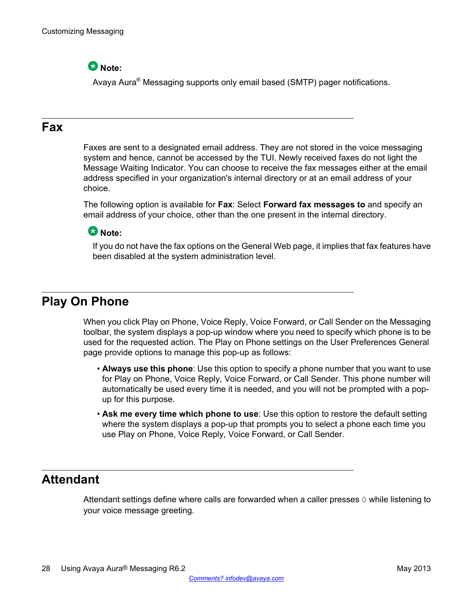### <span id="page-27-0"></span> **Note:**

Avaya Aura® Messaging supports only email based (SMTP) pager notifications.

# **Fax**

Faxes are sent to a designated email address. They are not stored in the voice messaging system and hence, cannot be accessed by the TUI. Newly received faxes do not light the Message Waiting Indicator. You can choose to receive the fax messages either at the email address specified in your organization's internal directory or at an email address of your choice.

The following option is available for **Fax**: Select **Forward fax messages to** and specify an email address of your choice, other than the one present in the internal directory.

### **Note:**

If you do not have the fax options on the General Web page, it implies that fax features have been disabled at the system administration level.

# **Play On Phone**

When you click Play on Phone, Voice Reply, Voice Forward, or Call Sender on the Messaging toolbar, the system displays a pop-up window where you need to specify which phone is to be used for the requested action. The Play on Phone settings on the User Preferences General page provide options to manage this pop-up as follows:

- **Always use this phone**: Use this option to specify a phone number that you want to use for Play on Phone, Voice Reply, Voice Forward, or Call Sender. This phone number will automatically be used every time it is needed, and you will not be prompted with a popup for this purpose.
- **Ask me every time which phone to use**: Use this option to restore the default setting where the system displays a pop-up that prompts you to select a phone each time you use Play on Phone, Voice Reply, Voice Forward, or Call Sender.

# **Attendant**

Attendant settings define where calls are forwarded when a caller presses 0 while listening to your voice message greeting.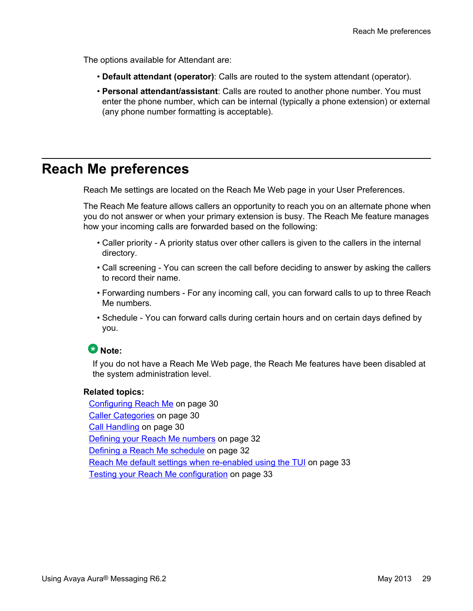<span id="page-28-0"></span>The options available for Attendant are:

- **Default attendant (operator)**: Calls are routed to the system attendant (operator).
- **Personal attendant/assistant**: Calls are routed to another phone number. You must enter the phone number, which can be internal (typically a phone extension) or external (any phone number formatting is acceptable).

# **Reach Me preferences**

Reach Me settings are located on the Reach Me Web page in your User Preferences.

The Reach Me feature allows callers an opportunity to reach you on an alternate phone when you do not answer or when your primary extension is busy. The Reach Me feature manages how your incoming calls are forwarded based on the following:

- Caller priority A priority status over other callers is given to the callers in the internal directory.
- Call screening You can screen the call before deciding to answer by asking the callers to record their name.
- Forwarding numbers For any incoming call, you can forward calls to up to three Reach Me numbers.
- Schedule You can forward calls during certain hours and on certain days defined by you.

### **Note:**

If you do not have a Reach Me Web page, the Reach Me features have been disabled at the system administration level.

#### **Related topics:**

[Configuring Reach Me](#page-29-0) on page 30 [Caller Categories](#page-29-0) on page 30 [Call Handling](#page-29-0) on page 30 [Defining your Reach Me numbers](#page-31-0) on page 32 [Defining a Reach Me schedule](#page-31-0) on page 32 [Reach Me default settings when re-enabled using the TUI](#page-32-0) on page 33 [Testing your Reach Me configuration](#page-32-0) on page 33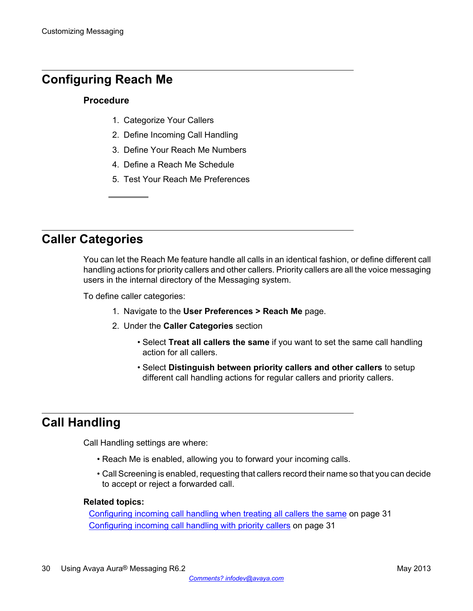# <span id="page-29-0"></span>**Configuring Reach Me**

### **Procedure**

- 1. Categorize Your Callers
- 2. Define Incoming Call Handling
- 3. Define Your Reach Me Numbers
- 4. Define a Reach Me Schedule
- 5. Test Your Reach Me Preferences

# **Caller Categories**

You can let the Reach Me feature handle all calls in an identical fashion, or define different call handling actions for priority callers and other callers. Priority callers are all the voice messaging users in the internal directory of the Messaging system.

To define caller categories:

- 1. Navigate to the **User Preferences > Reach Me** page.
- 2. Under the **Caller Categories** section
	- Select **Treat all callers the same** if you want to set the same call handling action for all callers.
	- Select **Distinguish between priority callers and other callers** to setup different call handling actions for regular callers and priority callers.

# **Call Handling**

Call Handling settings are where:

- Reach Me is enabled, allowing you to forward your incoming calls.
- Call Screening is enabled, requesting that callers record their name so that you can decide to accept or reject a forwarded call.

### **Related topics:**

[Configuring incoming call handling when treating all callers the same](#page-30-0) on page 31 [Configuring incoming call handling with priority callers](#page-30-0) on page 31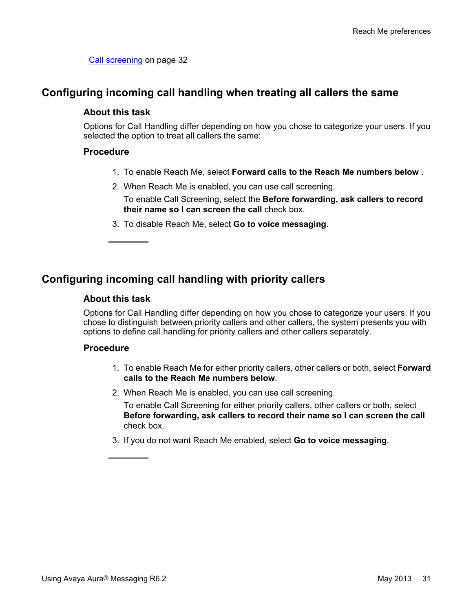[Call screening](#page-31-0) on page 32

### <span id="page-30-0"></span>**Configuring incoming call handling when treating all callers the same**

### **About this task**

Options for Call Handling differ depending on how you chose to categorize your users. If you selected the option to treat all callers the same:

### **Procedure**

- 1. To enable Reach Me, select **Forward calls to the Reach Me numbers below** .
- 2. When Reach Me is enabled, you can use call screening. To enable Call Screening, select the **Before forwarding, ask callers to record their name so I can screen the call** check box.
- 3. To disable Reach Me, select **Go to voice messaging**.

### **Configuring incoming call handling with priority callers**

### **About this task**

Options for Call Handling differ depending on how you chose to categorize your users. If you chose to distinguish between priority callers and other callers, the system presents you with options to define call handling for priority callers and other callers separately.

### **Procedure**

- 1. To enable Reach Me for either priority callers, other callers or both, select **Forward calls to the Reach Me numbers below**.
- 2. When Reach Me is enabled, you can use call screening.

To enable Call Screening for either priority callers, other callers or both, select **Before forwarding, ask callers to record their name so I can screen the call** check box.

3. If you do not want Reach Me enabled, select **Go to voice messaging**.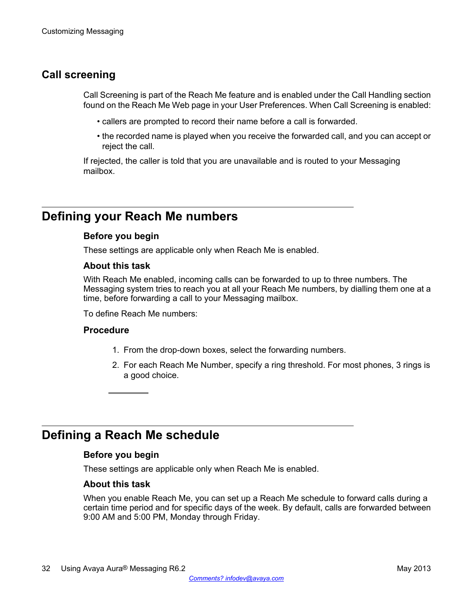# <span id="page-31-0"></span>**Call screening**

Call Screening is part of the Reach Me feature and is enabled under the Call Handling section found on the Reach Me Web page in your User Preferences. When Call Screening is enabled:

- callers are prompted to record their name before a call is forwarded.
- the recorded name is played when you receive the forwarded call, and you can accept or reject the call.

If rejected, the caller is told that you are unavailable and is routed to your Messaging mailbox.

# **Defining your Reach Me numbers**

### **Before you begin**

These settings are applicable only when Reach Me is enabled.

#### **About this task**

With Reach Me enabled, incoming calls can be forwarded to up to three numbers. The Messaging system tries to reach you at all your Reach Me numbers, by dialling them one at a time, before forwarding a call to your Messaging mailbox.

To define Reach Me numbers:

### **Procedure**

- 1. From the drop-down boxes, select the forwarding numbers.
- 2. For each Reach Me Number, specify a ring threshold. For most phones, 3 rings is a good choice.

# **Defining a Reach Me schedule**

### **Before you begin**

These settings are applicable only when Reach Me is enabled.

#### **About this task**

When you enable Reach Me, you can set up a Reach Me schedule to forward calls during a certain time period and for specific days of the week. By default, calls are forwarded between 9:00 AM and 5:00 PM, Monday through Friday.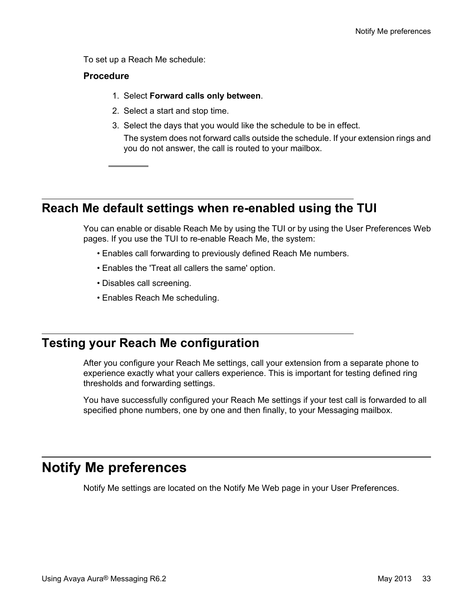<span id="page-32-0"></span>To set up a Reach Me schedule:

### **Procedure**

- 1. Select **Forward calls only between**.
- 2. Select a start and stop time.
- 3. Select the days that you would like the schedule to be in effect.

The system does not forward calls outside the schedule. If your extension rings and you do not answer, the call is routed to your mailbox.

# **Reach Me default settings when re-enabled using the TUI**

You can enable or disable Reach Me by using the TUI or by using the User Preferences Web pages. If you use the TUI to re-enable Reach Me, the system:

- Enables call forwarding to previously defined Reach Me numbers.
- Enables the 'Treat all callers the same' option.
- Disables call screening.
- Enables Reach Me scheduling.

# **Testing your Reach Me configuration**

After you configure your Reach Me settings, call your extension from a separate phone to experience exactly what your callers experience. This is important for testing defined ring thresholds and forwarding settings.

You have successfully configured your Reach Me settings if your test call is forwarded to all specified phone numbers, one by one and then finally, to your Messaging mailbox.

# **Notify Me preferences**

Notify Me settings are located on the Notify Me Web page in your User Preferences.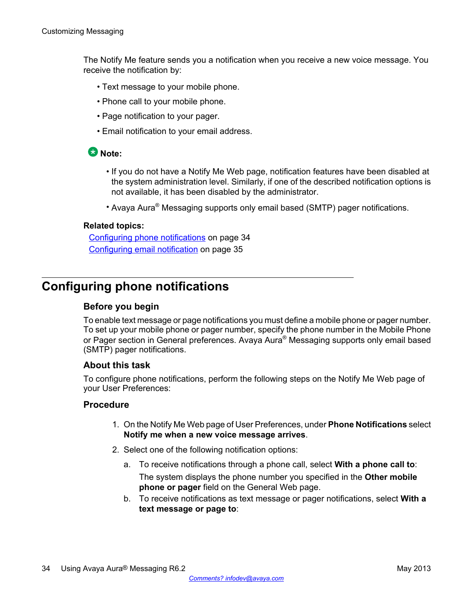<span id="page-33-0"></span>The Notify Me feature sends you a notification when you receive a new voice message. You receive the notification by:

- Text message to your mobile phone.
- Phone call to your mobile phone.
- Page notification to your pager.
- Email notification to your email address.

### **Note:**

- If you do not have a Notify Me Web page, notification features have been disabled at the system administration level. Similarly, if one of the described notification options is not available, it has been disabled by the administrator.
- Avaya Aura® Messaging supports only email based (SMTP) pager notifications.

#### **Related topics:**

Configuring phone notifications on page 34 [Configuring email notification](#page-34-0) on page 35

# **Configuring phone notifications**

### **Before you begin**

To enable text message or page notifications you must define a mobile phone or pager number. To set up your mobile phone or pager number, specify the phone number in the Mobile Phone or Pager section in General preferences. Avaya Aura® Messaging supports only email based (SMTP) pager notifications.

### **About this task**

To configure phone notifications, perform the following steps on the Notify Me Web page of your User Preferences:

- 1. On the Notify Me Web page of User Preferences, under **Phone Notifications** select **Notify me when a new voice message arrives**.
- 2. Select one of the following notification options:
	- a. To receive notifications through a phone call, select **With a phone call to**: The system displays the phone number you specified in the **Other mobile phone or pager** field on the General Web page.
	- b. To receive notifications as text message or pager notifications, select **With a text message or page to**: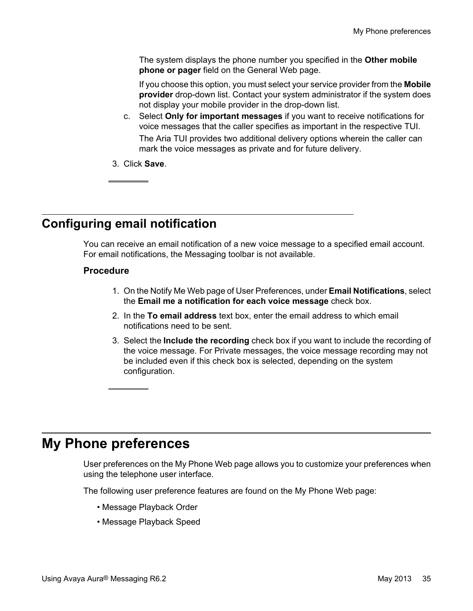<span id="page-34-0"></span>The system displays the phone number you specified in the **Other mobile phone or pager** field on the General Web page.

If you choose this option, you must select your service provider from the **Mobile provider** drop-down list. Contact your system administrator if the system does not display your mobile provider in the drop-down list.

c. Select **Only for important messages** if you want to receive notifications for voice messages that the caller specifies as important in the respective TUI.

The Aria TUI provides two additional delivery options wherein the caller can mark the voice messages as private and for future delivery.

3. Click **Save**.

# **Configuring email notification**

You can receive an email notification of a new voice message to a specified email account. For email notifications, the Messaging toolbar is not available.

### **Procedure**

- 1. On the Notify Me Web page of User Preferences, under **Email Notifications**, select the **Email me a notification for each voice message** check box.
- 2. In the **To email address** text box, enter the email address to which email notifications need to be sent.
- 3. Select the **Include the recording** check box if you want to include the recording of the voice message. For Private messages, the voice message recording may not be included even if this check box is selected, depending on the system configuration.

# **My Phone preferences**

User preferences on the My Phone Web page allows you to customize your preferences when using the telephone user interface.

The following user preference features are found on the My Phone Web page:

- Message Playback Order
- Message Playback Speed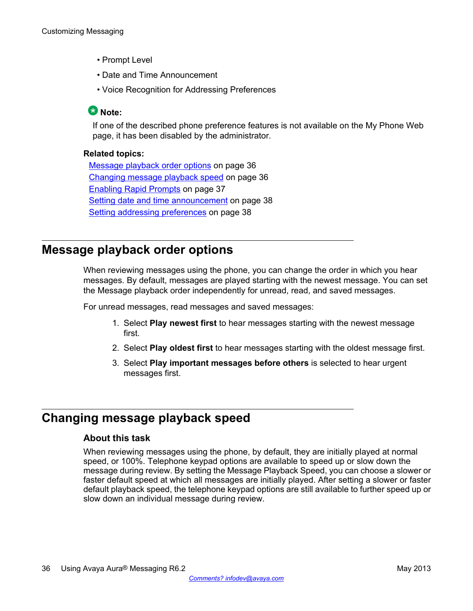- <span id="page-35-0"></span>• Prompt Level
- Date and Time Announcement
- Voice Recognition for Addressing Preferences

### **Note:**

If one of the described phone preference features is not available on the My Phone Web page, it has been disabled by the administrator.

### **Related topics:**

Message playback order options on page 36 Changing message playback speed on page 36 [Enabling Rapid Prompts](#page-36-0) on page 37 [Setting date and time announcement](#page-37-0) on page 38 [Setting addressing preferences](#page-37-0) on page 38

# **Message playback order options**

When reviewing messages using the phone, you can change the order in which you hear messages. By default, messages are played starting with the newest message. You can set the Message playback order independently for unread, read, and saved messages.

For unread messages, read messages and saved messages:

- 1. Select **Play newest first** to hear messages starting with the newest message first.
- 2. Select **Play oldest first** to hear messages starting with the oldest message first.
- 3. Select **Play important messages before others** is selected to hear urgent messages first.

# **Changing message playback speed**

### **About this task**

When reviewing messages using the phone, by default, they are initially played at normal speed, or 100%. Telephone keypad options are available to speed up or slow down the message during review. By setting the Message Playback Speed, you can choose a slower or faster default speed at which all messages are initially played. After setting a slower or faster default playback speed, the telephone keypad options are still available to further speed up or slow down an individual message during review.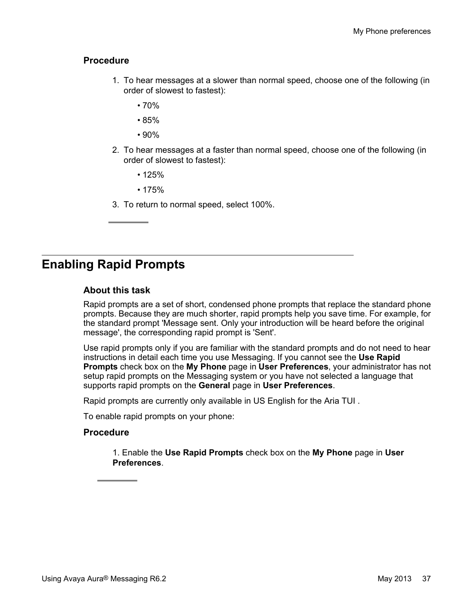### <span id="page-36-0"></span>**Procedure**

- 1. To hear messages at a slower than normal speed, choose one of the following (in order of slowest to fastest):
	- $•70%$
	- 85%
	- 90%
- 2. To hear messages at a faster than normal speed, choose one of the following (in order of slowest to fastest):
	- 125%
	- 175%
- 3. To return to normal speed, select 100%.

# **Enabling Rapid Prompts**

### **About this task**

Rapid prompts are a set of short, condensed phone prompts that replace the standard phone prompts. Because they are much shorter, rapid prompts help you save time. For example, for the standard prompt 'Message sent. Only your introduction will be heard before the original message', the corresponding rapid prompt is 'Sent'.

Use rapid prompts only if you are familiar with the standard prompts and do not need to hear instructions in detail each time you use Messaging. If you cannot see the **Use Rapid Prompts** check box on the **My Phone** page in **User Preferences**, your administrator has not setup rapid prompts on the Messaging system or you have not selected a language that supports rapid prompts on the **General** page in **User Preferences**.

Rapid prompts are currently only available in US English for the Aria TUI .

To enable rapid prompts on your phone:

### **Procedure**

1. Enable the **Use Rapid Prompts** check box on the **My Phone** page in **User Preferences**.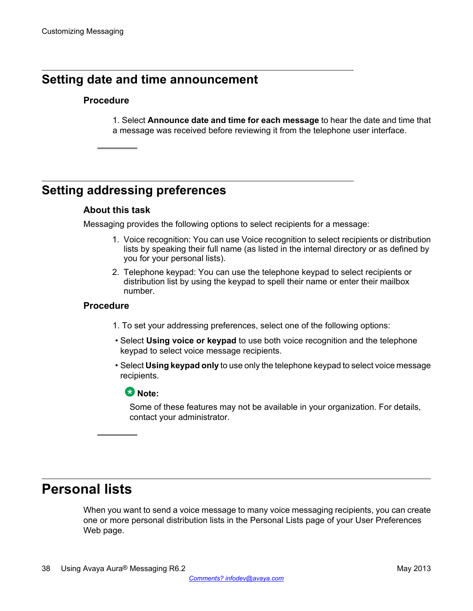## <span id="page-37-0"></span>**Setting date and time announcement**

#### **Procedure**

1. Select **Announce date and time for each message** to hear the date and time that a message was received before reviewing it from the telephone user interface.

# **Setting addressing preferences**

#### **About this task**

Messaging provides the following options to select recipients for a message:

- 1. Voice recognition: You can use Voice recognition to select recipients or distribution lists by speaking their full name (as listed in the internal directory or as defined by you for your personal lists).
- 2. Telephone keypad: You can use the telephone keypad to select recipients or distribution list by using the keypad to spell their name or enter their mailbox number.

#### **Procedure**

- 1. To set your addressing preferences, select one of the following options:
- Select **Using voice or keypad** to use both voice recognition and the telephone keypad to select voice message recipients.
- Select **Using keypad only** to use only the telephone keypad to select voice message recipients.

### **Note:**

Some of these features may not be available in your organization. For details, contact your administrator.

# **Personal lists**

When you want to send a voice message to many voice messaging recipients, you can create one or more personal distribution lists in the Personal Lists page of your User Preferences Web page.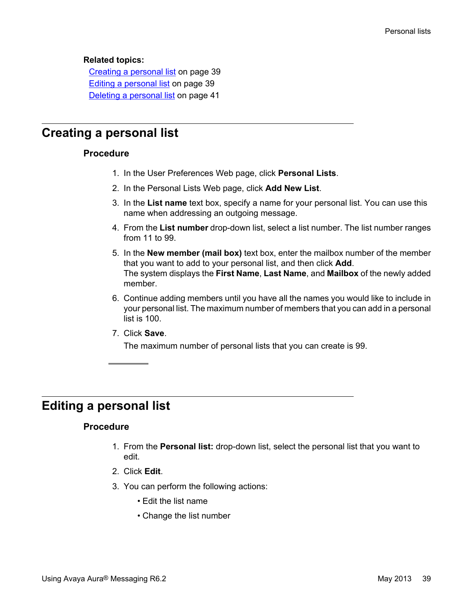#### <span id="page-38-0"></span>**Related topics:**

Creating a personal list on page 39 Editing a personal list on page 39 [Deleting a personal list](#page-40-0) on page 41

### **Creating a personal list**

### **Procedure**

- 1. In the User Preferences Web page, click **Personal Lists**.
- 2. In the Personal Lists Web page, click **Add New List**.
- 3. In the **List name** text box, specify a name for your personal list. You can use this name when addressing an outgoing message.
- 4. From the **List number** drop-down list, select a list number. The list number ranges from 11 to 99.
- 5. In the **New member (mail box)** text box, enter the mailbox number of the member that you want to add to your personal list, and then click **Add**. The system displays the **First Name**, **Last Name**, and **Mailbox** of the newly added member.
- 6. Continue adding members until you have all the names you would like to include in your personal list. The maximum number of members that you can add in a personal list is 100.
- 7. Click **Save**.

The maximum number of personal lists that you can create is 99.

# **Editing a personal list**

- 1. From the **Personal list:** drop-down list, select the personal list that you want to edit.
- 2. Click **Edit**.
- 3. You can perform the following actions:
	- Edit the list name
	- Change the list number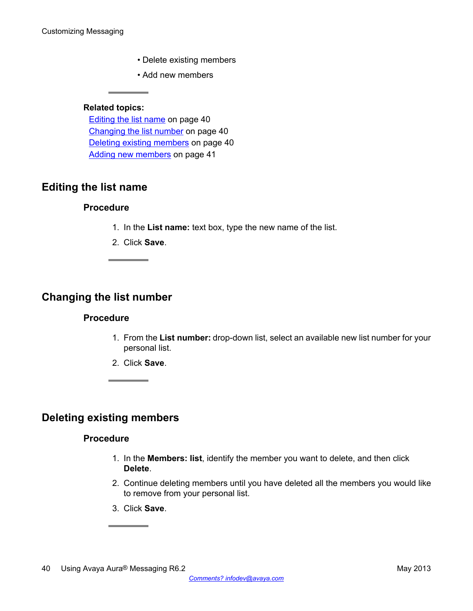- Delete existing members
- Add new members

### <span id="page-39-0"></span>**Related topics:**

Editing the list name on page 40 Changing the list number on page 40 Deleting existing members on page 40 [Adding new members](#page-40-0) on page 41

### **Editing the list name**

### **Procedure**

- 1. In the **List name:** text box, type the new name of the list.
- 2. Click **Save**.

### **Changing the list number**

### **Procedure**

- 1. From the **List number:** drop-down list, select an available new list number for your personal list.
- 2. Click **Save**.

### **Deleting existing members**

- 1. In the **Members: list**, identify the member you want to delete, and then click **Delete**.
- 2. Continue deleting members until you have deleted all the members you would like to remove from your personal list.
- 3. Click **Save**.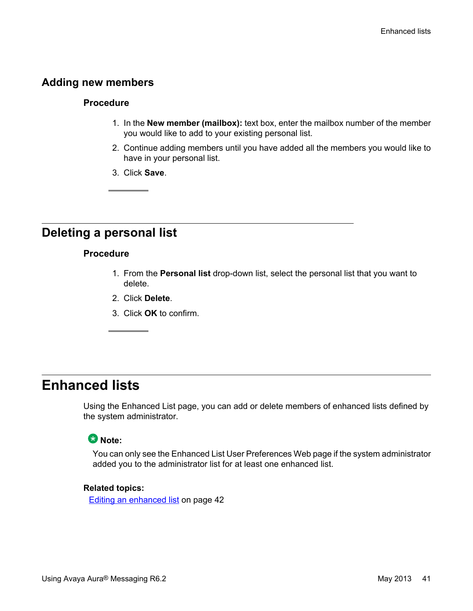### <span id="page-40-0"></span>**Adding new members**

### **Procedure**

- 1. In the **New member (mailbox):** text box, enter the mailbox number of the member you would like to add to your existing personal list.
- 2. Continue adding members until you have added all the members you would like to have in your personal list.
- 3. Click **Save**.

# **Deleting a personal list**

### **Procedure**

- 1. From the **Personal list** drop-down list, select the personal list that you want to delete.
- 2. Click **Delete**.
- 3. Click **OK** to confirm.

# **Enhanced lists**

Using the Enhanced List page, you can add or delete members of enhanced lists defined by the system administrator.

### **Note:**

You can only see the Enhanced List User Preferences Web page if the system administrator added you to the administrator list for at least one enhanced list.

#### **Related topics:**

[Editing an enhanced list](#page-41-0) on page 42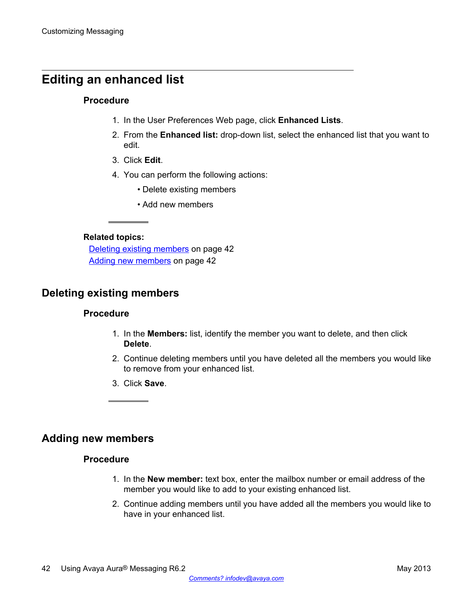# <span id="page-41-0"></span>**Editing an enhanced list**

### **Procedure**

- 1. In the User Preferences Web page, click **Enhanced Lists**.
- 2. From the **Enhanced list:** drop-down list, select the enhanced list that you want to edit.
- 3. Click **Edit**.
- 4. You can perform the following actions:
	- Delete existing members
	- Add new members

#### **Related topics:**

Deleting existing members on page 42 Adding new members on page 42

### **Deleting existing members**

#### **Procedure**

- 1. In the **Members:** list, identify the member you want to delete, and then click **Delete**.
- 2. Continue deleting members until you have deleted all the members you would like to remove from your enhanced list.
- 3. Click **Save**.

### **Adding new members**

- 1. In the **New member:** text box, enter the mailbox number or email address of the member you would like to add to your existing enhanced list.
- 2. Continue adding members until you have added all the members you would like to have in your enhanced list.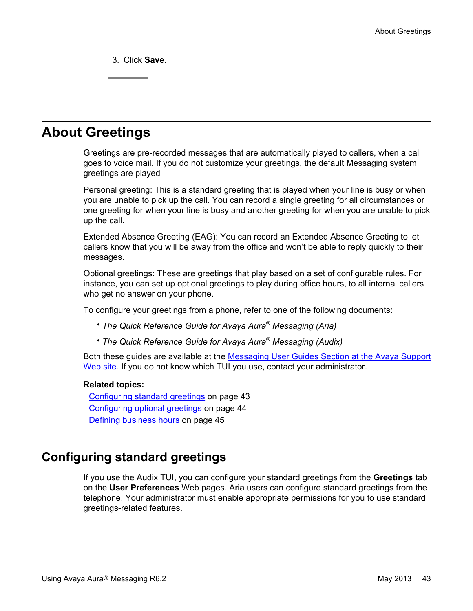<span id="page-42-0"></span>3. Click **Save**.

# **About Greetings**

Greetings are pre-recorded messages that are automatically played to callers, when a call goes to voice mail. If you do not customize your greetings, the default Messaging system greetings are played

Personal greeting: This is a standard greeting that is played when your line is busy or when you are unable to pick up the call. You can record a single greeting for all circumstances or one greeting for when your line is busy and another greeting for when you are unable to pick up the call.

Extended Absence Greeting (EAG): You can record an Extended Absence Greeting to let callers know that you will be away from the office and won't be able to reply quickly to their messages.

Optional greetings: These are greetings that play based on a set of configurable rules. For instance, you can set up optional greetings to play during office hours, to all internal callers who get no answer on your phone.

To configure your greetings from a phone, refer to one of the following documents:

- *The Quick Reference Guide for Avaya Aura® Messaging (Aria)*
- *The Quick Reference Guide for Avaya Aura® Messaging (Audix)*

Both these guides are available at the [Messaging User Guides Section at the Avaya Support](https://support.avaya.com/css/Products/P0792/User%20Guides) [Web site.](https://support.avaya.com/css/Products/P0792/User%20Guides) If you do not know which TUI you use, contact your administrator.

### **Related topics:**

Configuring standard greetings on page 43 [Configuring optional greetings](#page-43-0) on page 44 [Defining business hours](#page-44-0) on page 45

# **Configuring standard greetings**

If you use the Audix TUI, you can configure your standard greetings from the **Greetings** tab on the **User Preferences** Web pages. Aria users can configure standard greetings from the telephone. Your administrator must enable appropriate permissions for you to use standard greetings-related features.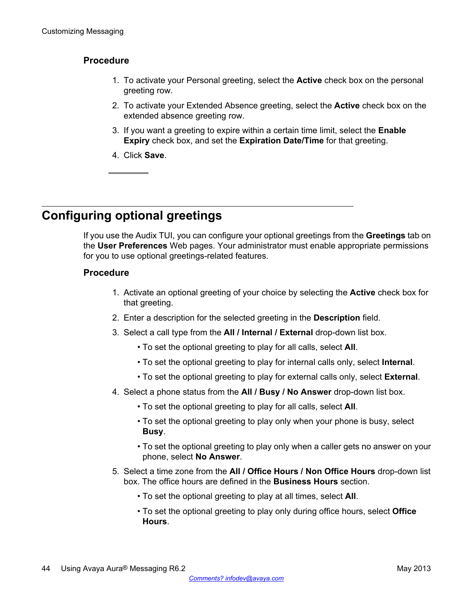### <span id="page-43-0"></span>**Procedure**

- 1. To activate your Personal greeting, select the **Active** check box on the personal greeting row.
- 2. To activate your Extended Absence greeting, select the **Active** check box on the extended absence greeting row.
- 3. If you want a greeting to expire within a certain time limit, select the **Enable Expiry** check box, and set the **Expiration Date/Time** for that greeting.
- 4. Click **Save**.

# **Configuring optional greetings**

If you use the Audix TUI, you can configure your optional greetings from the **Greetings** tab on the **User Preferences** Web pages. Your administrator must enable appropriate permissions for you to use optional greetings-related features.

- 1. Activate an optional greeting of your choice by selecting the **Active** check box for that greeting.
- 2. Enter a description for the selected greeting in the **Description** field.
- 3. Select a call type from the **All / Internal / External** drop-down list box.
	- To set the optional greeting to play for all calls, select **All**.
	- To set the optional greeting to play for internal calls only, select **Internal**.
	- To set the optional greeting to play for external calls only, select **External**.
- 4. Select a phone status from the **All / Busy / No Answer** drop-down list box.
	- To set the optional greeting to play for all calls, select **All**.
	- To set the optional greeting to play only when your phone is busy, select **Busy**.
	- To set the optional greeting to play only when a caller gets no answer on your phone, select **No Answer**.
- 5. Select a time zone from the **All / Office Hours / Non Office Hours** drop-down list box. The office hours are defined in the **Business Hours** section.
	- To set the optional greeting to play at all times, select **All**.
	- To set the optional greeting to play only during office hours, select **Office Hours**.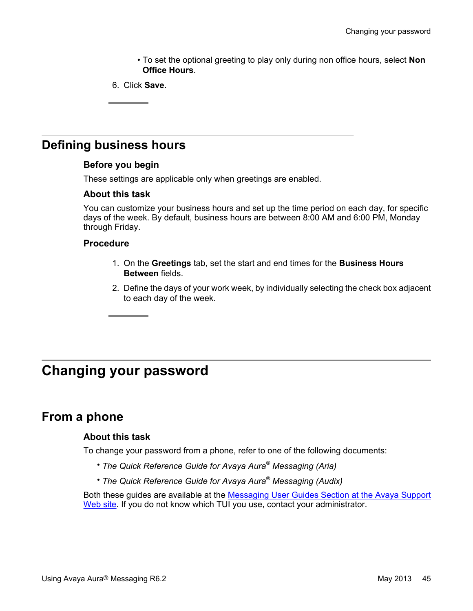- To set the optional greeting to play only during non office hours, select **Non Office Hours**.
- <span id="page-44-0"></span>6. Click **Save**.

# **Defining business hours**

### **Before you begin**

These settings are applicable only when greetings are enabled.

### **About this task**

You can customize your business hours and set up the time period on each day, for specific days of the week. By default, business hours are between 8:00 AM and 6:00 PM, Monday through Friday.

### **Procedure**

- 1. On the **Greetings** tab, set the start and end times for the **Business Hours Between** fields.
- 2. Define the days of your work week, by individually selecting the check box adjacent to each day of the week.

# **Changing your password**

# **From a phone**

### **About this task**

To change your password from a phone, refer to one of the following documents:

- *The Quick Reference Guide for Avaya Aura® Messaging (Aria)*
- *The Quick Reference Guide for Avaya Aura® Messaging (Audix)*

Both these guides are available at the [Messaging User Guides Section at the Avaya Support](https://support.avaya.com/css/Products/P0792/User%20Guides) [Web site.](https://support.avaya.com/css/Products/P0792/User%20Guides) If you do not know which TUI you use, contact your administrator.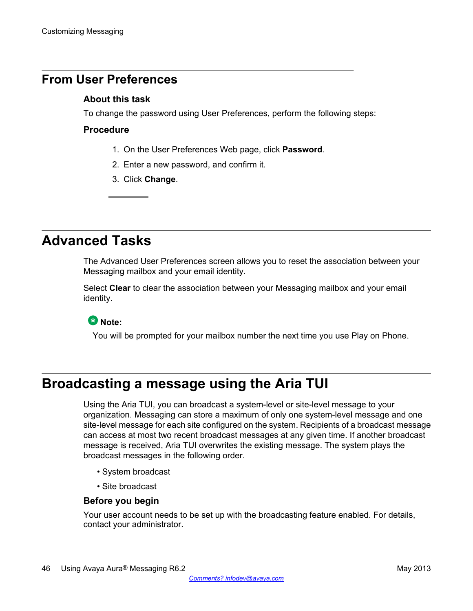# <span id="page-45-0"></span>**From User Preferences**

### **About this task**

To change the password using User Preferences, perform the following steps:

#### **Procedure**

- 1. On the User Preferences Web page, click **Password**.
- 2. Enter a new password, and confirm it.
- 3. Click **Change**.

# **Advanced Tasks**

The Advanced User Preferences screen allows you to reset the association between your Messaging mailbox and your email identity.

Select **Clear** to clear the association between your Messaging mailbox and your email identity.

### **Note:**

You will be prompted for your mailbox number the next time you use Play on Phone.

# **Broadcasting a message using the Aria TUI**

Using the Aria TUI, you can broadcast a system-level or site-level message to your organization. Messaging can store a maximum of only one system-level message and one site-level message for each site configured on the system. Recipients of a broadcast message can access at most two recent broadcast messages at any given time. If another broadcast message is received, Aria TUI overwrites the existing message. The system plays the broadcast messages in the following order.

- System broadcast
- Site broadcast

### **Before you begin**

Your user account needs to be set up with the broadcasting feature enabled. For details, contact your administrator.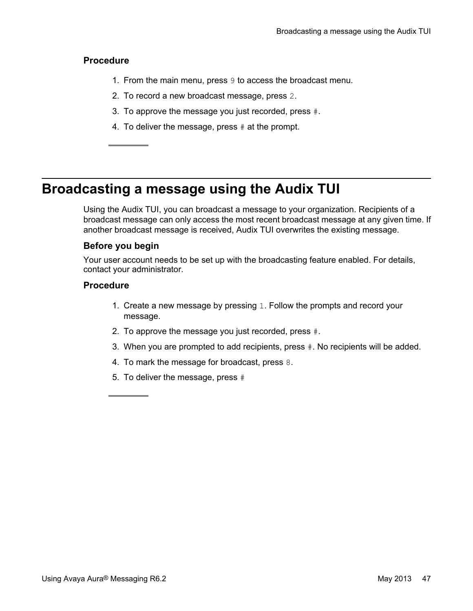### <span id="page-46-0"></span>**Procedure**

- 1. From the main menu, press 9 to access the broadcast menu.
- 2. To record a new broadcast message, press 2.
- 3. To approve the message you just recorded, press #.
- 4. To deliver the message, press # at the prompt.

# **Broadcasting a message using the Audix TUI**

Using the Audix TUI, you can broadcast a message to your organization. Recipients of a broadcast message can only access the most recent broadcast message at any given time. If another broadcast message is received, Audix TUI overwrites the existing message.

### **Before you begin**

Your user account needs to be set up with the broadcasting feature enabled. For details, contact your administrator.

- 1. Create a new message by pressing 1. Follow the prompts and record your message.
- 2. To approve the message you just recorded, press #.
- 3. When you are prompted to add recipients, press #. No recipients will be added.
- 4. To mark the message for broadcast, press 8.
- 5. To deliver the message, press #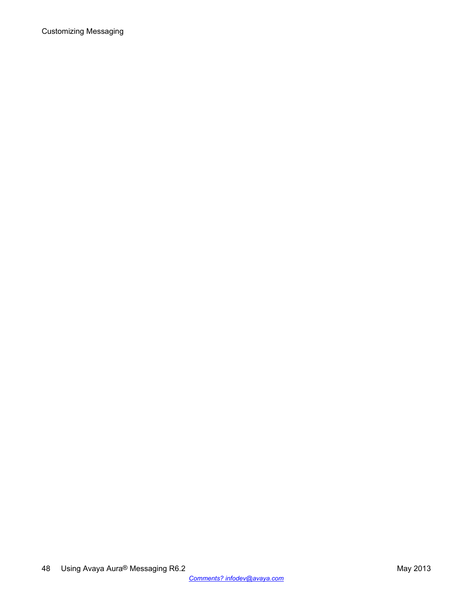Customizing Messaging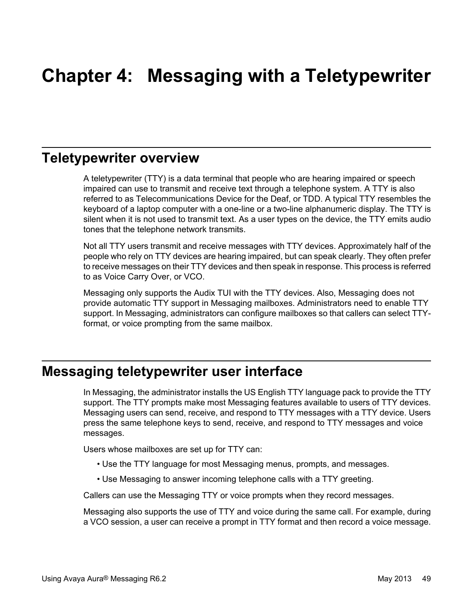# <span id="page-48-0"></span>**Teletypewriter overview**

A teletypewriter (TTY) is a data terminal that people who are hearing impaired or speech impaired can use to transmit and receive text through a telephone system. A TTY is also referred to as Telecommunications Device for the Deaf, or TDD. A typical TTY resembles the keyboard of a laptop computer with a one-line or a two-line alphanumeric display. The TTY is silent when it is not used to transmit text. As a user types on the device, the TTY emits audio tones that the telephone network transmits.

Not all TTY users transmit and receive messages with TTY devices. Approximately half of the people who rely on TTY devices are hearing impaired, but can speak clearly. They often prefer to receive messages on their TTY devices and then speak in response. This process is referred to as Voice Carry Over, or VCO.

Messaging only supports the Audix TUI with the TTY devices. Also, Messaging does not provide automatic TTY support in Messaging mailboxes. Administrators need to enable TTY support. In Messaging, administrators can configure mailboxes so that callers can select TTYformat, or voice prompting from the same mailbox.

# **Messaging teletypewriter user interface**

In Messaging, the administrator installs the US English TTY language pack to provide the TTY support. The TTY prompts make most Messaging features available to users of TTY devices. Messaging users can send, receive, and respond to TTY messages with a TTY device. Users press the same telephone keys to send, receive, and respond to TTY messages and voice messages.

Users whose mailboxes are set up for TTY can:

- Use the TTY language for most Messaging menus, prompts, and messages.
- Use Messaging to answer incoming telephone calls with a TTY greeting.

Callers can use the Messaging TTY or voice prompts when they record messages.

Messaging also supports the use of TTY and voice during the same call. For example, during a VCO session, a user can receive a prompt in TTY format and then record a voice message.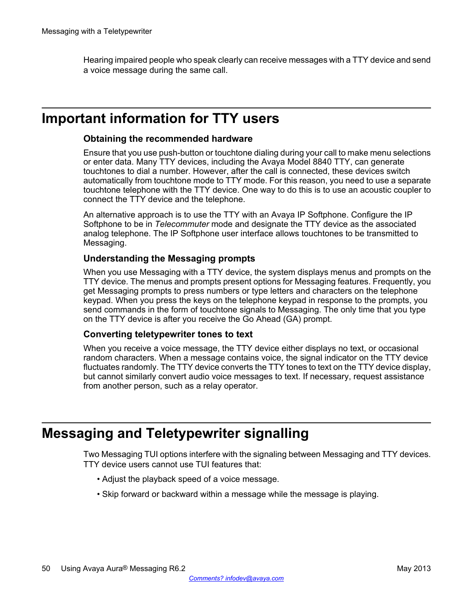<span id="page-49-0"></span>Hearing impaired people who speak clearly can receive messages with a TTY device and send a voice message during the same call.

# **Important information for TTY users**

#### **Obtaining the recommended hardware**

Ensure that you use push-button or touchtone dialing during your call to make menu selections or enter data. Many TTY devices, including the Avaya Model 8840 TTY, can generate touchtones to dial a number. However, after the call is connected, these devices switch automatically from touchtone mode to TTY mode. For this reason, you need to use a separate touchtone telephone with the TTY device. One way to do this is to use an acoustic coupler to connect the TTY device and the telephone.

An alternative approach is to use the TTY with an Avaya IP Softphone. Configure the IP Softphone to be in *Telecommuter* mode and designate the TTY device as the associated analog telephone. The IP Softphone user interface allows touchtones to be transmitted to Messaging.

### **Understanding the Messaging prompts**

When you use Messaging with a TTY device, the system displays menus and prompts on the TTY device. The menus and prompts present options for Messaging features. Frequently, you get Messaging prompts to press numbers or type letters and characters on the telephone keypad. When you press the keys on the telephone keypad in response to the prompts, you send commands in the form of touchtone signals to Messaging. The only time that you type on the TTY device is after you receive the Go Ahead (GA) prompt.

#### **Converting teletypewriter tones to text**

When you receive a voice message, the TTY device either displays no text, or occasional random characters. When a message contains voice, the signal indicator on the TTY device fluctuates randomly. The TTY device converts the TTY tones to text on the TTY device display, but cannot similarly convert audio voice messages to text. If necessary, request assistance from another person, such as a relay operator.

# **Messaging and Teletypewriter signalling**

Two Messaging TUI options interfere with the signaling between Messaging and TTY devices. TTY device users cannot use TUI features that:

- Adjust the playback speed of a voice message.
- Skip forward or backward within a message while the message is playing.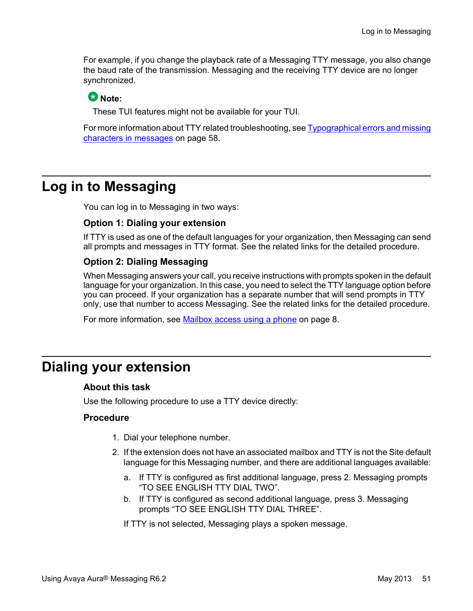<span id="page-50-0"></span>For example, if you change the playback rate of a Messaging TTY message, you also change the baud rate of the transmission. Messaging and the receiving TTY device are no longer synchronized.

### **Note:**

These TUI features might not be available for your TUI.

For more information about TTY related troubleshooting, see [Typographical errors and missing](#page-57-0) [characters in messages](#page-57-0) on page 58.

# **Log in to Messaging**

You can log in to Messaging in two ways:

### **Option 1: Dialing your extension**

If TTY is used as one of the default languages for your organization, then Messaging can send all prompts and messages in TTY format. See the related links for the detailed procedure.

### **Option 2: Dialing Messaging**

When Messaging answers your call, you receive instructions with prompts spoken in the default language for your organization. In this case, you need to select the TTY language option before you can proceed. If your organization has a separate number that will send prompts in TTY only, use that number to access Messaging. See the related links for the detailed procedure.

For more information, see [Mailbox access using a phone](#page-7-0) on page 8.

# **Dialing your extension**

### **About this task**

Use the following procedure to use a TTY device directly:

### **Procedure**

- 1. Dial your telephone number.
- 2. If the extension does not have an associated mailbox and TTY is not the Site default language for this Messaging number, and there are additional languages available:
	- a. If TTY is configured as first additional language, press 2. Messaging prompts "TO SEE ENGLISH TTY DIAL TWO".
	- b. If TTY is configured as second additional language, press 3. Messaging prompts "TO SEE ENGLISH TTY DIAL THREE".

If TTY is not selected, Messaging plays a spoken message.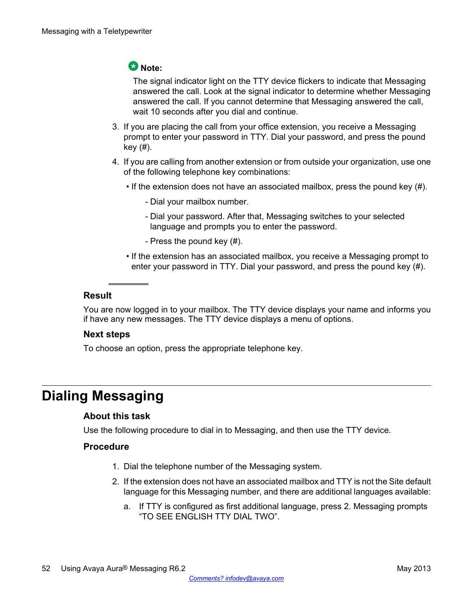# <span id="page-51-0"></span> **Note:**

The signal indicator light on the TTY device flickers to indicate that Messaging answered the call. Look at the signal indicator to determine whether Messaging answered the call. If you cannot determine that Messaging answered the call, wait 10 seconds after you dial and continue.

- 3. If you are placing the call from your office extension, you receive a Messaging prompt to enter your password in TTY. Dial your password, and press the pound key (#).
- 4. If you are calling from another extension or from outside your organization, use one of the following telephone key combinations:
	- If the extension does not have an associated mailbox, press the pound key (#).
		- Dial your mailbox number.
		- Dial your password. After that, Messaging switches to your selected language and prompts you to enter the password.
		- Press the pound key (#).
	- If the extension has an associated mailbox, you receive a Messaging prompt to enter your password in TTY. Dial your password, and press the pound key (#).

### **Result**

You are now logged in to your mailbox. The TTY device displays your name and informs you if have any new messages. The TTY device displays a menu of options.

### **Next steps**

To choose an option, press the appropriate telephone key.

# **Dialing Messaging**

### **About this task**

Use the following procedure to dial in to Messaging, and then use the TTY device.

- 1. Dial the telephone number of the Messaging system.
- 2. If the extension does not have an associated mailbox and TTY is not the Site default language for this Messaging number, and there are additional languages available:
	- a. If TTY is configured as first additional language, press 2. Messaging prompts "TO SEE ENGLISH TTY DIAL TWO".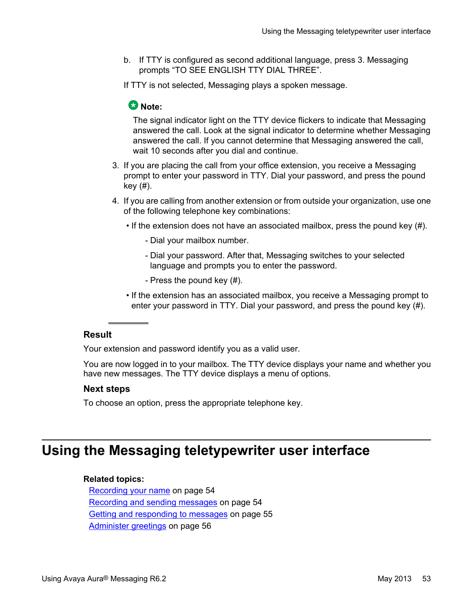- <span id="page-52-0"></span>b. If TTY is configured as second additional language, press 3. Messaging prompts "TO SEE ENGLISH TTY DIAL THREE".
- If TTY is not selected, Messaging plays a spoken message.

### **Note:**

The signal indicator light on the TTY device flickers to indicate that Messaging answered the call. Look at the signal indicator to determine whether Messaging answered the call. If you cannot determine that Messaging answered the call, wait 10 seconds after you dial and continue.

- 3. If you are placing the call from your office extension, you receive a Messaging prompt to enter your password in TTY. Dial your password, and press the pound key (#).
- 4. If you are calling from another extension or from outside your organization, use one of the following telephone key combinations:
	- If the extension does not have an associated mailbox, press the pound key (#).
		- Dial your mailbox number.
		- Dial your password. After that, Messaging switches to your selected language and prompts you to enter the password.
		- Press the pound key (#).
	- If the extension has an associated mailbox, you receive a Messaging prompt to enter your password in TTY. Dial your password, and press the pound key (#).

### **Result**

Your extension and password identify you as a valid user.

You are now logged in to your mailbox. The TTY device displays your name and whether you have new messages. The TTY device displays a menu of options.

### **Next steps**

To choose an option, press the appropriate telephone key.

# **Using the Messaging teletypewriter user interface**

### **Related topics:**

[Recording your name](#page-53-0) on page 54 [Recording and sending messages](#page-53-0) on page 54 [Getting and responding to messages](#page-54-0) on page 55 [Administer greetings](#page-55-0) on page 56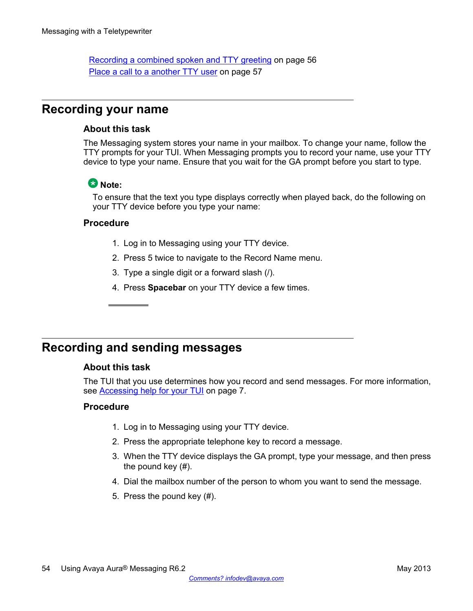<span id="page-53-0"></span>[Recording a combined spoken and TTY greeting](#page-55-0) on page 56 [Place a call to a another TTY user](#page-56-0) on page 57

# **Recording your name**

### **About this task**

The Messaging system stores your name in your mailbox. To change your name, follow the TTY prompts for your TUI. When Messaging prompts you to record your name, use your TTY device to type your name. Ensure that you wait for the GA prompt before you start to type.

### **Note:**

To ensure that the text you type displays correctly when played back, do the following on your TTY device before you type your name:

### **Procedure**

- 1. Log in to Messaging using your TTY device.
- 2. Press 5 twice to navigate to the Record Name menu.
- 3. Type a single digit or a forward slash (/).
- 4. Press **Spacebar** on your TTY device a few times.

# **Recording and sending messages**

### **About this task**

The TUI that you use determines how you record and send messages. For more information, see [Accessing help for your TUI](#page-6-0) on page 7.

- 1. Log in to Messaging using your TTY device.
- 2. Press the appropriate telephone key to record a message.
- 3. When the TTY device displays the GA prompt, type your message, and then press the pound key (#).
- 4. Dial the mailbox number of the person to whom you want to send the message.
- 5. Press the pound key (#).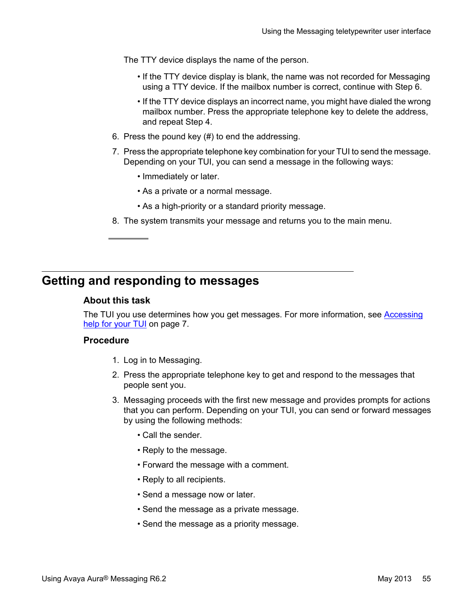<span id="page-54-0"></span>The TTY device displays the name of the person.

- If the TTY device display is blank, the name was not recorded for Messaging using a TTY device. If the mailbox number is correct, continue with Step 6.
- If the TTY device displays an incorrect name, you might have dialed the wrong mailbox number. Press the appropriate telephone key to delete the address, and repeat Step 4.
- 6. Press the pound key (#) to end the addressing.
- 7. Press the appropriate telephone key combination for your TUI to send the message. Depending on your TUI, you can send a message in the following ways:
	- Immediately or later.
	- As a private or a normal message.
	- As a high-priority or a standard priority message.
- 8. The system transmits your message and returns you to the main menu.

# **Getting and responding to messages**

### **About this task**

The TUI you use determines how you get messages. For more information, see [Accessing](#page-6-0) [help for your TUI](#page-6-0) on page 7.

- 1. Log in to Messaging.
- 2. Press the appropriate telephone key to get and respond to the messages that people sent you.
- 3. Messaging proceeds with the first new message and provides prompts for actions that you can perform. Depending on your TUI, you can send or forward messages by using the following methods:
	- Call the sender.
	- Reply to the message.
	- Forward the message with a comment.
	- Reply to all recipients.
	- Send a message now or later.
	- Send the message as a private message.
	- Send the message as a priority message.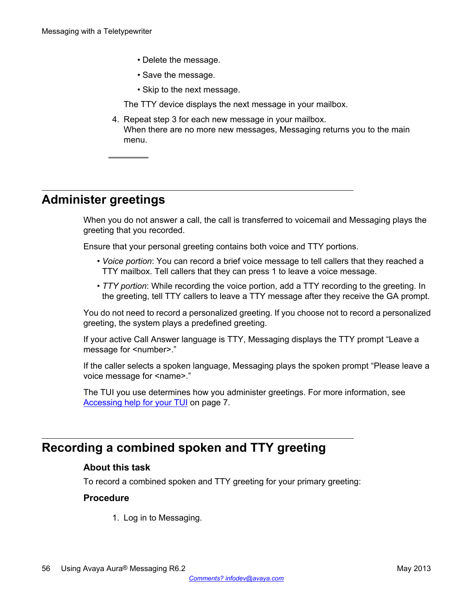- <span id="page-55-0"></span>• Delete the message.
- Save the message.
- Skip to the next message.

The TTY device displays the next message in your mailbox.

4. Repeat step 3 for each new message in your mailbox. When there are no more new messages, Messaging returns you to the main menu.

# **Administer greetings**

When you do not answer a call, the call is transferred to voicemail and Messaging plays the greeting that you recorded.

Ensure that your personal greeting contains both voice and TTY portions.

- *Voice portion*: You can record a brief voice message to tell callers that they reached a TTY mailbox. Tell callers that they can press 1 to leave a voice message.
- *TTY portion*: While recording the voice portion, add a TTY recording to the greeting. In the greeting, tell TTY callers to leave a TTY message after they receive the GA prompt.

You do not need to record a personalized greeting. If you choose not to record a personalized greeting, the system plays a predefined greeting.

If your active Call Answer language is TTY, Messaging displays the TTY prompt "Leave a message for <number>."

If the caller selects a spoken language, Messaging plays the spoken prompt "Please leave a voice message for <name>."

The TUI you use determines how you administer greetings. For more information, see [Accessing help for your TUI](#page-6-0) on page 7.

# **Recording a combined spoken and TTY greeting**

### **About this task**

To record a combined spoken and TTY greeting for your primary greeting:

### **Procedure**

1. Log in to Messaging.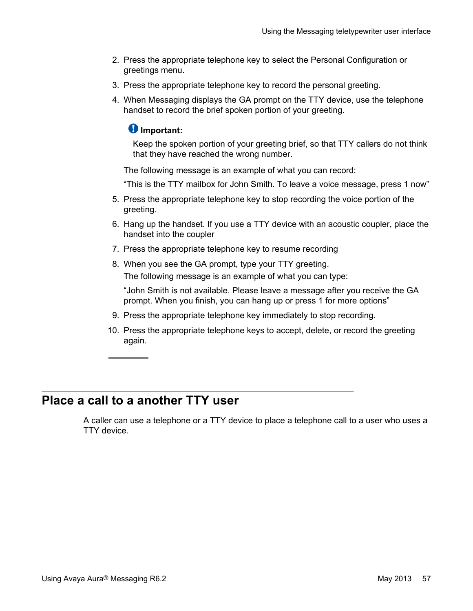- <span id="page-56-0"></span>2. Press the appropriate telephone key to select the Personal Configuration or greetings menu.
- 3. Press the appropriate telephone key to record the personal greeting.
- 4. When Messaging displays the GA prompt on the TTY device, use the telephone handset to record the brief spoken portion of your greeting.

### *U* Important:

Keep the spoken portion of your greeting brief, so that TTY callers do not think that they have reached the wrong number.

The following message is an example of what you can record:

"This is the TTY mailbox for John Smith. To leave a voice message, press 1 now"

- 5. Press the appropriate telephone key to stop recording the voice portion of the greeting.
- 6. Hang up the handset. If you use a TTY device with an acoustic coupler, place the handset into the coupler
- 7. Press the appropriate telephone key to resume recording
- 8. When you see the GA prompt, type your TTY greeting.

The following message is an example of what you can type:

"John Smith is not available. Please leave a message after you receive the GA prompt. When you finish, you can hang up or press 1 for more options"

- 9. Press the appropriate telephone key immediately to stop recording.
- 10. Press the appropriate telephone keys to accept, delete, or record the greeting again.

# **Place a call to a another TTY user**

A caller can use a telephone or a TTY device to place a telephone call to a user who uses a TTY device.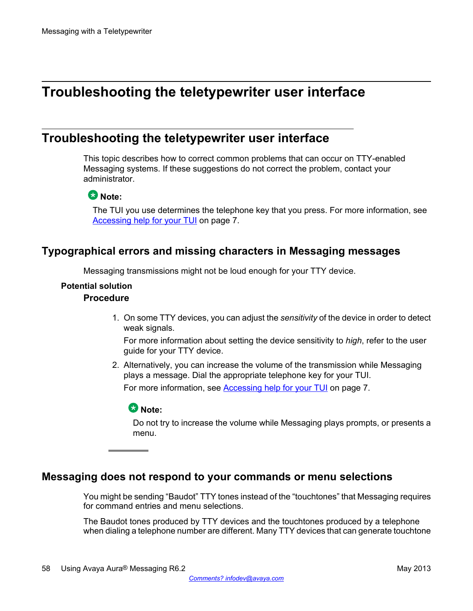# <span id="page-57-0"></span>**Troubleshooting the teletypewriter user interface**

# **Troubleshooting the teletypewriter user interface**

This topic describes how to correct common problems that can occur on TTY-enabled Messaging systems. If these suggestions do not correct the problem, contact your administrator.

### **Note:**

The TUI you use determines the telephone key that you press. For more information, see [Accessing help for your TUI](#page-6-0) on page 7.

### **Typographical errors and missing characters in Messaging messages**

Messaging transmissions might not be loud enough for your TTY device.

### **Potential solution Procedure**

1. On some TTY devices, you can adjust the *sensitivity* of the device in order to detect weak signals.

For more information about setting the device sensitivity to *high*, refer to the user guide for your TTY device.

2. Alternatively, you can increase the volume of the transmission while Messaging plays a message. Dial the appropriate telephone key for your TUI. For more information, see [Accessing help for your TUI](#page-6-0) on page 7.

### **Note:**

Do not try to increase the volume while Messaging plays prompts, or presents a menu.

### **Messaging does not respond to your commands or menu selections**

You might be sending "Baudot" TTY tones instead of the "touchtones" that Messaging requires for command entries and menu selections.

The Baudot tones produced by TTY devices and the touchtones produced by a telephone when dialing a telephone number are different. Many TTY devices that can generate touchtone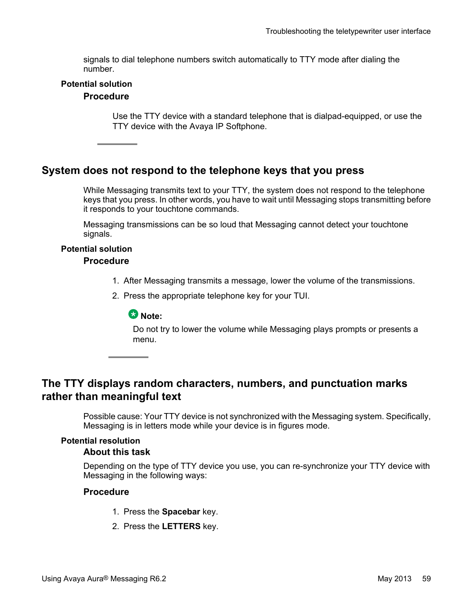<span id="page-58-0"></span>signals to dial telephone numbers switch automatically to TTY mode after dialing the number.

### **Potential solution**

#### **Procedure**

Use the TTY device with a standard telephone that is dialpad-equipped, or use the TTY device with the Avaya IP Softphone.

### **System does not respond to the telephone keys that you press**

While Messaging transmits text to your TTY, the system does not respond to the telephone keys that you press. In other words, you have to wait until Messaging stops transmitting before it responds to your touchtone commands.

Messaging transmissions can be so loud that Messaging cannot detect your touchtone signals.

### **Potential solution**

#### **Procedure**

- 1. After Messaging transmits a message, lower the volume of the transmissions.
- 2. Press the appropriate telephone key for your TUI.

### **Note:**

Do not try to lower the volume while Messaging plays prompts or presents a menu.

### **The TTY displays random characters, numbers, and punctuation marks rather than meaningful text**

Possible cause: Your TTY device is not synchronized with the Messaging system. Specifically, Messaging is in letters mode while your device is in figures mode.

### **Potential resolution**

#### **About this task**

Depending on the type of TTY device you use, you can re-synchronize your TTY device with Messaging in the following ways:

- 1. Press the **Spacebar** key.
- 2. Press the **LETTERS** key.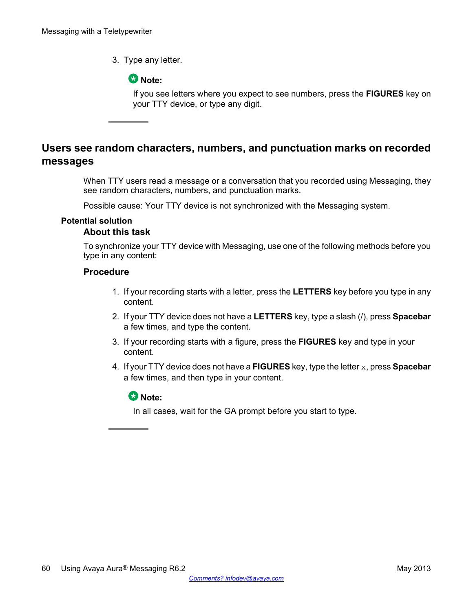<span id="page-59-0"></span>3. Type any letter.

### **Note:**

If you see letters where you expect to see numbers, press the **FIGURES** key on your TTY device, or type any digit.

### **Users see random characters, numbers, and punctuation marks on recorded messages**

When TTY users read a message or a conversation that you recorded using Messaging, they see random characters, numbers, and punctuation marks.

Possible cause: Your TTY device is not synchronized with the Messaging system.

### **Potential solution**

### **About this task**

To synchronize your TTY device with Messaging, use one of the following methods before you type in any content:

### **Procedure**

- 1. If your recording starts with a letter, press the **LETTERS** key before you type in any content.
- 2. If your TTY device does not have a **LETTERS** key, type a slash (/), press **Spacebar** a few times, and type the content.
- 3. If your recording starts with a figure, press the **FIGURES** key and type in your content.
- 4. If your TTY device does not have a **FIGURES** key, type the letter x, press **Spacebar** a few times, and then type in your content.

### **Note:**

In all cases, wait for the GA prompt before you start to type.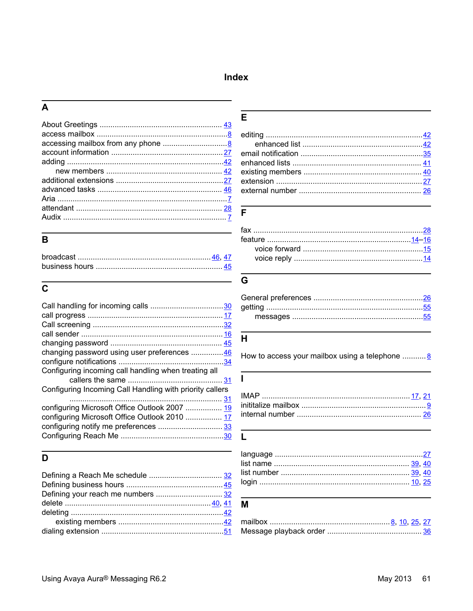### **Index**

### <span id="page-60-0"></span> $\mathbf{A}$

### $\mathbf B$

### $\mathbf C$

| changing password using user preferences 46              |    |
|----------------------------------------------------------|----|
|                                                          |    |
| Configuring incoming call handling when treating all     |    |
|                                                          |    |
| Configuring Incoming Call Handling with priority callers |    |
|                                                          | 31 |
| configuring Microsoft Office Outlook 2007  19            |    |
| configuring Microsoft Office Outlook 2010  17            |    |
|                                                          |    |
|                                                          |    |
|                                                          |    |

### $\mathbf D$

# $\mathsf E$

### $\overline{F}$

### $\mathbf G$

### $\overline{H}$

 $\mathbf{I}$ 

How to access your mailbox using a telephone ........... 8

### 

 $\overline{L}$ 

### M